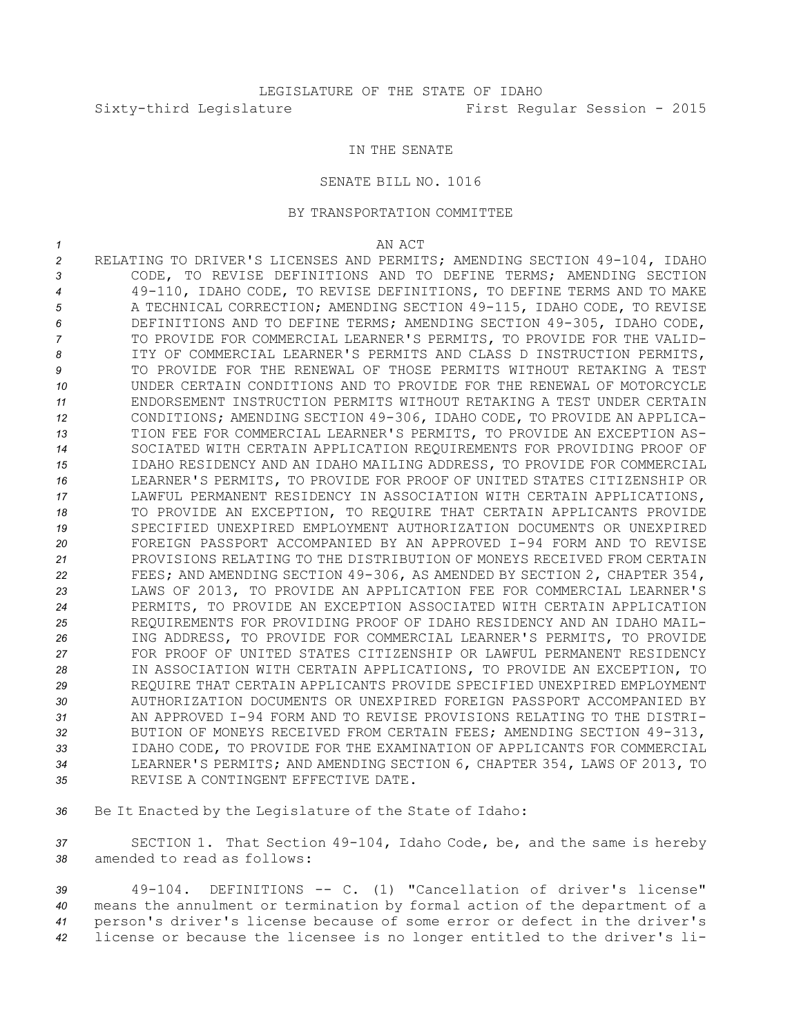## IN THE SENATE

## SENATE BILL NO. 1016

## BY TRANSPORTATION COMMITTEE

*1* AN ACT

 RELATING TO DRIVER'S LICENSES AND PERMITS; AMENDING SECTION 49-104, IDAHO CODE, TO REVISE DEFINITIONS AND TO DEFINE TERMS; AMENDING SECTION 49-110, IDAHO CODE, TO REVISE DEFINITIONS, TO DEFINE TERMS AND TO MAKE A TECHNICAL CORRECTION; AMENDING SECTION 49-115, IDAHO CODE, TO REVISE DEFINITIONS AND TO DEFINE TERMS; AMENDING SECTION 49-305, IDAHO CODE, TO PROVIDE FOR COMMERCIAL LEARNER'S PERMITS, TO PROVIDE FOR THE VALID- ITY OF COMMERCIAL LEARNER'S PERMITS AND CLASS D INSTRUCTION PERMITS, TO PROVIDE FOR THE RENEWAL OF THOSE PERMITS WITHOUT RETAKING A TEST UNDER CERTAIN CONDITIONS AND TO PROVIDE FOR THE RENEWAL OF MOTORCYCLE ENDORSEMENT INSTRUCTION PERMITS WITHOUT RETAKING A TEST UNDER CERTAIN CONDITIONS; AMENDING SECTION 49-306, IDAHO CODE, TO PROVIDE AN APPLICA- TION FEE FOR COMMERCIAL LEARNER'S PERMITS, TO PROVIDE AN EXCEPTION AS- SOCIATED WITH CERTAIN APPLICATION REQUIREMENTS FOR PROVIDING PROOF OF IDAHO RESIDENCY AND AN IDAHO MAILING ADDRESS, TO PROVIDE FOR COMMERCIAL LEARNER'S PERMITS, TO PROVIDE FOR PROOF OF UNITED STATES CITIZENSHIP OR LAWFUL PERMANENT RESIDENCY IN ASSOCIATION WITH CERTAIN APPLICATIONS, 18 TO PROVIDE AN EXCEPTION, TO REQUIRE THAT CERTAIN APPLICANTS PROVIDE SPECIFIED UNEXPIRED EMPLOYMENT AUTHORIZATION DOCUMENTS OR UNEXPIRED FOREIGN PASSPORT ACCOMPANIED BY AN APPROVED I-94 FORM AND TO REVISE PROVISIONS RELATING TO THE DISTRIBUTION OF MONEYS RECEIVED FROM CERTAIN FEES; AND AMENDING SECTION 49-306, AS AMENDED BY SECTION 2, CHAPTER 354, LAWS OF 2013, TO PROVIDE AN APPLICATION FEE FOR COMMERCIAL LEARNER'S PERMITS, TO PROVIDE AN EXCEPTION ASSOCIATED WITH CERTAIN APPLICATION REQUIREMENTS FOR PROVIDING PROOF OF IDAHO RESIDENCY AND AN IDAHO MAIL- ING ADDRESS, TO PROVIDE FOR COMMERCIAL LEARNER'S PERMITS, TO PROVIDE FOR PROOF OF UNITED STATES CITIZENSHIP OR LAWFUL PERMANENT RESIDENCY IN ASSOCIATION WITH CERTAIN APPLICATIONS, TO PROVIDE AN EXCEPTION, TO REQUIRE THAT CERTAIN APPLICANTS PROVIDE SPECIFIED UNEXPIRED EMPLOYMENT AUTHORIZATION DOCUMENTS OR UNEXPIRED FOREIGN PASSPORT ACCOMPANIED BY AN APPROVED I-94 FORM AND TO REVISE PROVISIONS RELATING TO THE DISTRI- BUTION OF MONEYS RECEIVED FROM CERTAIN FEES; AMENDING SECTION 49-313, IDAHO CODE, TO PROVIDE FOR THE EXAMINATION OF APPLICANTS FOR COMMERCIAL LEARNER'S PERMITS; AND AMENDING SECTION 6, CHAPTER 354, LAWS OF 2013, TO REVISE A CONTINGENT EFFECTIVE DATE.

*<sup>36</sup>* Be It Enacted by the Legislature of the State of Idaho:

*<sup>37</sup>* SECTION 1. That Section 49-104, Idaho Code, be, and the same is hereby *38* amended to read as follows:

 49-104. DEFINITIONS -- C. (1) "Cancellation of driver's license" means the annulment or termination by formal action of the department of <sup>a</sup> person's driver's license because of some error or defect in the driver's license or because the licensee is no longer entitled to the driver's li-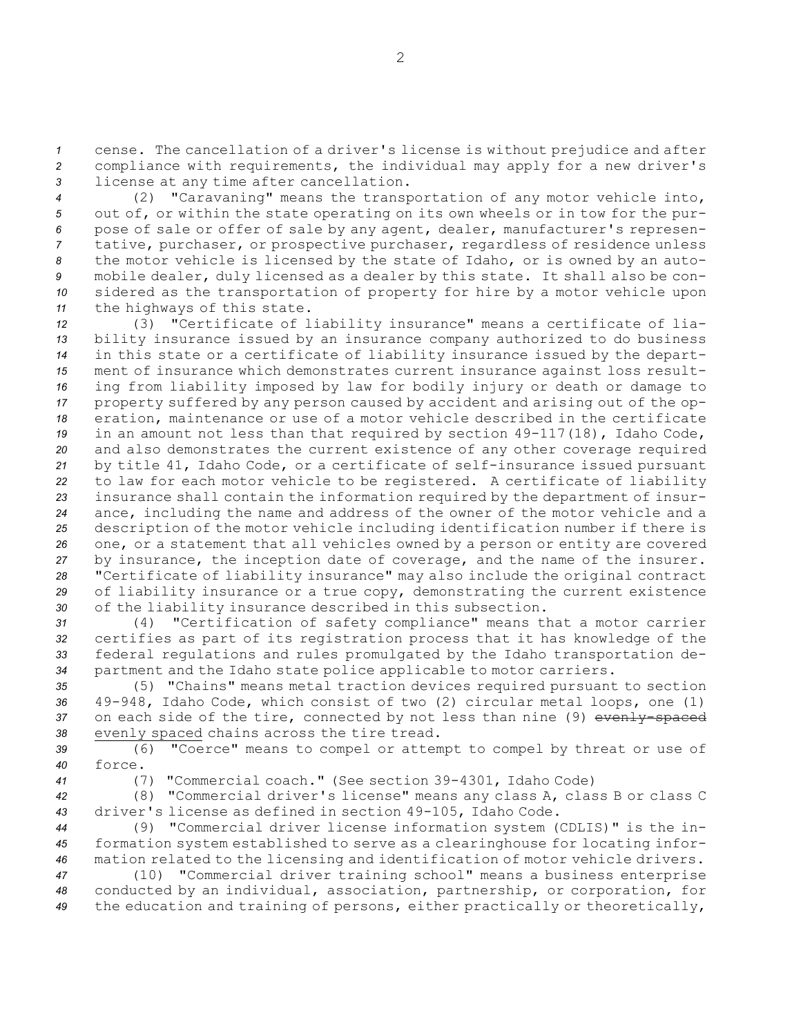*<sup>1</sup>* cense. The cancellation of <sup>a</sup> driver's license is without prejudice and after *<sup>2</sup>* compliance with requirements, the individual may apply for <sup>a</sup> new driver's *<sup>3</sup>* license at any time after cancellation.

 (2) "Caravaning" means the transportation of any motor vehicle into, out of, or within the state operating on its own wheels or in tow for the pur- pose of sale or offer of sale by any agent, dealer, manufacturer's represen- tative, purchaser, or prospective purchaser, regardless of residence unless the motor vehicle is licensed by the state of Idaho, or is owned by an auto- mobile dealer, duly licensed as <sup>a</sup> dealer by this state. It shall also be con- sidered as the transportation of property for hire by <sup>a</sup> motor vehicle upon the highways of this state.

 (3) "Certificate of liability insurance" means <sup>a</sup> certificate of lia- bility insurance issued by an insurance company authorized to do business in this state or <sup>a</sup> certificate of liability insurance issued by the depart- ment of insurance which demonstrates current insurance against loss result- ing from liability imposed by law for bodily injury or death or damage to property suffered by any person caused by accident and arising out of the op- eration, maintenance or use of <sup>a</sup> motor vehicle described in the certificate in an amount not less than that required by section 49-117(18), Idaho Code, and also demonstrates the current existence of any other coverage required by title 41, Idaho Code, or <sup>a</sup> certificate of self-insurance issued pursuant to law for each motor vehicle to be registered. <sup>A</sup> certificate of liability insurance shall contain the information required by the department of insur- ance, including the name and address of the owner of the motor vehicle and <sup>a</sup> description of the motor vehicle including identification number if there is one, or <sup>a</sup> statement that all vehicles owned by <sup>a</sup> person or entity are covered by insurance, the inception date of coverage, and the name of the insurer. "Certificate of liability insurance" may also include the original contract of liability insurance or <sup>a</sup> true copy, demonstrating the current existence of the liability insurance described in this subsection.

 (4) "Certification of safety compliance" means that <sup>a</sup> motor carrier certifies as part of its registration process that it has knowledge of the federal regulations and rules promulgated by the Idaho transportation de-partment and the Idaho state police applicable to motor carriers.

 (5) "Chains" means metal traction devices required pursuant to section 49-948, Idaho Code, which consist of two (2) circular metal loops, one (1) 37 on each side of the tire, connected by not less than nine (9) evenly-spaced evenly spaced chains across the tire tread.

*<sup>39</sup>* (6) "Coerce" means to compel or attempt to compel by threat or use of *40* force.

*<sup>41</sup>* (7) "Commercial coach." (See section 39-4301, Idaho Code)

*<sup>42</sup>* (8) "Commercial driver's license" means any class A, class <sup>B</sup> or class C *<sup>43</sup>* driver's license as defined in section 49-105, Idaho Code.

*<sup>44</sup>* (9) "Commercial driver license information system (CDLIS)" is the in-*<sup>45</sup>* formation system established to serve as <sup>a</sup> clearinghouse for locating infor-*<sup>46</sup>* mation related to the licensing and identification of motor vehicle drivers.

*<sup>47</sup>* (10) "Commercial driver training school" means <sup>a</sup> business enterprise *<sup>48</sup>* conducted by an individual, association, partnership, or corporation, for *<sup>49</sup>* the education and training of persons, either practically or theoretically,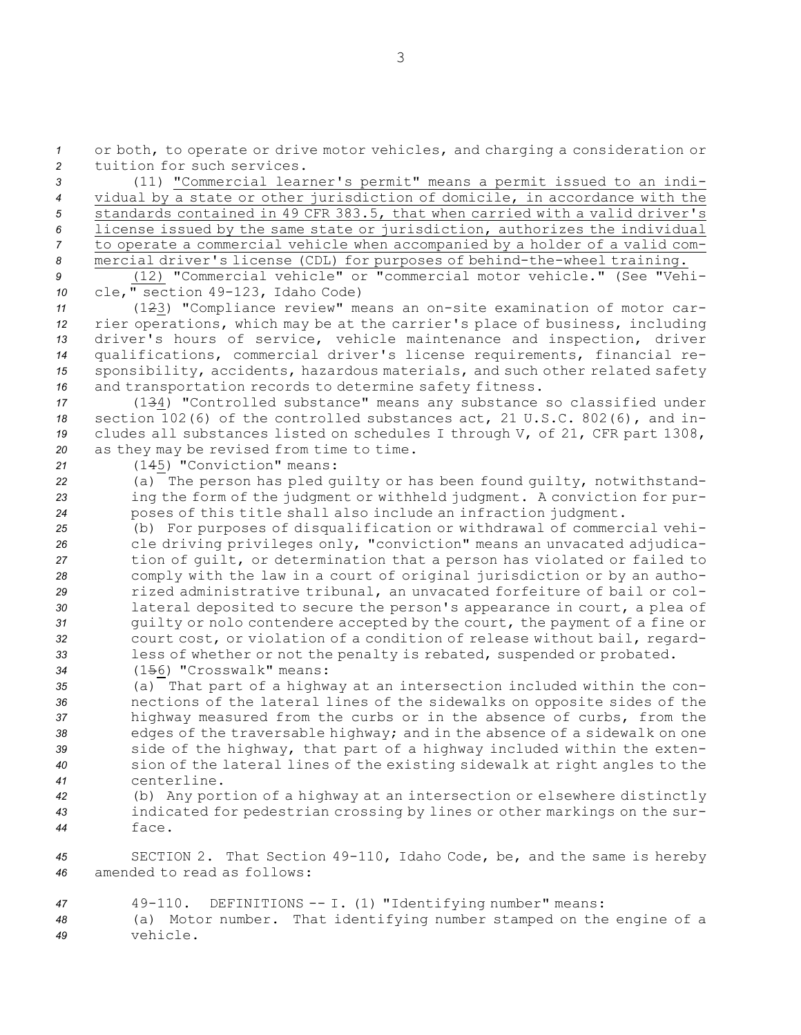*<sup>1</sup>* or both, to operate or drive motor vehicles, and charging <sup>a</sup> consideration or *2* tuition for such services.

 (11) "Commercial learner's permit" means <sup>a</sup> permit issued to an indi- vidual by <sup>a</sup> state or other jurisdiction of domicile, in accordance with the standards contained in 49 CFR 383.5, that when carried with <sup>a</sup> valid driver's license issued by the same state or jurisdiction, authorizes the individual to operate <sup>a</sup> commercial vehicle when accompanied by <sup>a</sup> holder of <sup>a</sup> valid com-mercial driver's license (CDL) for purposes of behind-the-wheel training.

*9* (12) "Commercial vehicle" or "commercial motor vehicle." (See "Vehi-*<sup>10</sup>* cle," section 49-123, Idaho Code)

 (123) "Compliance review" means an on-site examination of motor car- rier operations, which may be at the carrier's place of business, including driver's hours of service, vehicle maintenance and inspection, driver qualifications, commercial driver's license requirements, financial re- sponsibility, accidents, hazardous materials, and such other related safety and transportation records to determine safety fitness.

 (134) "Controlled substance" means any substance so classified under section 102(6) of the controlled substances act, 21 U.S.C. 802(6), and in- cludes all substances listed on schedules <sup>I</sup> through V, of 21, CFR part 1308, as they may be revised from time to time.

*<sup>21</sup>* (145) "Conviction" means:

*<sup>22</sup>* (a) The person has pled guilty or has been found guilty, notwithstand-*<sup>23</sup>* ing the form of the judgment or withheld judgment. <sup>A</sup> conviction for pur-*<sup>24</sup>* poses of this title shall also include an infraction judgment.

 (b) For purposes of disqualification or withdrawal of commercial vehi- cle driving privileges only, "conviction" means an unvacated adjudica- tion of guilt, or determination that <sup>a</sup> person has violated or failed to comply with the law in <sup>a</sup> court of original jurisdiction or by an autho- rized administrative tribunal, an unvacated forfeiture of bail or col- lateral deposited to secure the person's appearance in court, <sup>a</sup> plea of guilty or nolo contendere accepted by the court, the payment of <sup>a</sup> fine or court cost, or violation of <sup>a</sup> condition of release without bail, regard- less of whether or not the penalty is rebated, suspended or probated. (156) "Crosswalk" means:

 (a) That part of <sup>a</sup> highway at an intersection included within the con- nections of the lateral lines of the sidewalks on opposite sides of the highway measured from the curbs or in the absence of curbs, from the edges of the traversable highway; and in the absence of <sup>a</sup> sidewalk on one side of the highway, that part of <sup>a</sup> highway included within the exten- sion of the lateral lines of the existing sidewalk at right angles to the centerline.

*<sup>42</sup>* (b) Any portion of <sup>a</sup> highway at an intersection or elsewhere distinctly *<sup>43</sup>* indicated for pedestrian crossing by lines or other markings on the sur-*44* face.

*<sup>45</sup>* SECTION 2. That Section 49-110, Idaho Code, be, and the same is hereby *46* amended to read as follows:

*<sup>47</sup>* 49-110. DEFINITIONS -- I. (1) "Identifying number" means: *<sup>48</sup>* (a) Motor number. That identifying number stamped on the engine of <sup>a</sup> *49* vehicle.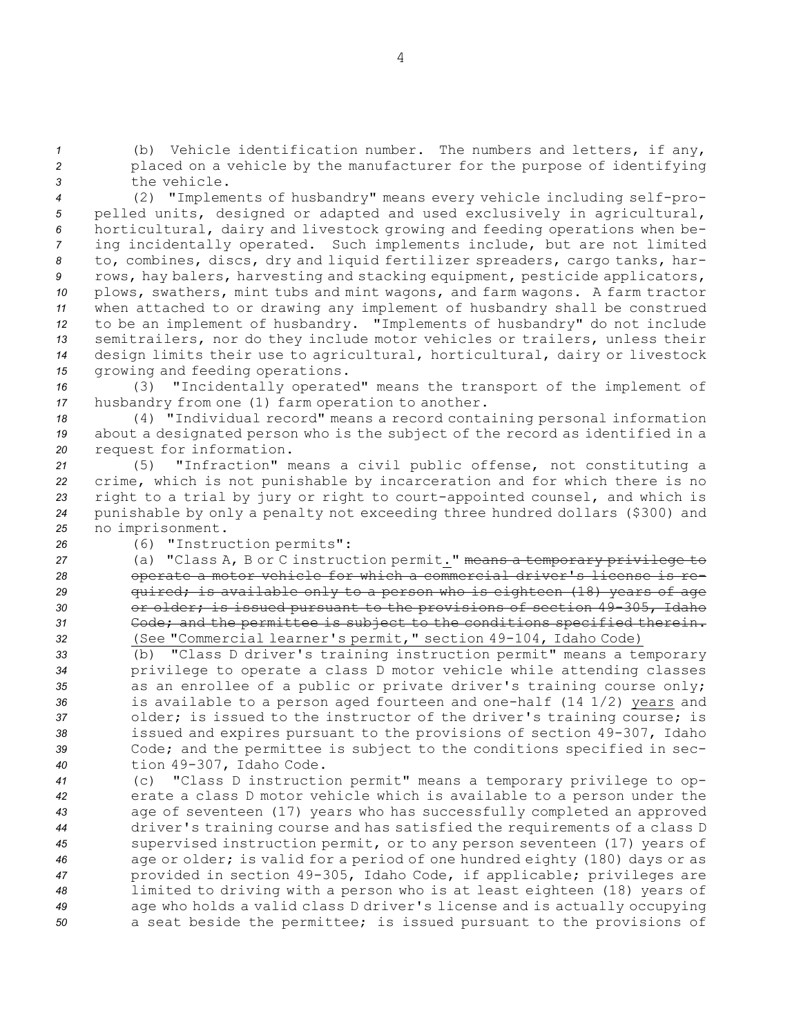*<sup>1</sup>* (b) Vehicle identification number. The numbers and letters, if any, *<sup>2</sup>* placed on <sup>a</sup> vehicle by the manufacturer for the purpose of identifying *3* the vehicle.

 (2) "Implements of husbandry" means every vehicle including self-pro- pelled units, designed or adapted and used exclusively in agricultural, horticultural, dairy and livestock growing and feeding operations when be- ing incidentally operated. Such implements include, but are not limited to, combines, discs, dry and liquid fertilizer spreaders, cargo tanks, har- rows, hay balers, harvesting and stacking equipment, pesticide applicators, plows, swathers, mint tubs and mint wagons, and farm wagons. <sup>A</sup> farm tractor when attached to or drawing any implement of husbandry shall be construed to be an implement of husbandry. "Implements of husbandry" do not include semitrailers, nor do they include motor vehicles or trailers, unless their design limits their use to agricultural, horticultural, dairy or livestock growing and feeding operations.

*<sup>16</sup>* (3) "Incidentally operated" means the transport of the implement of *<sup>17</sup>* husbandry from one (1) farm operation to another.

*<sup>18</sup>* (4) "Individual record" means <sup>a</sup> record containing personal information *<sup>19</sup>* about <sup>a</sup> designated person who is the subject of the record as identified in <sup>a</sup> *<sup>20</sup>* request for information.

 (5) "Infraction" means <sup>a</sup> civil public offense, not constituting <sup>a</sup> crime, which is not punishable by incarceration and for which there is no right to <sup>a</sup> trial by jury or right to court-appointed counsel, and which is punishable by only <sup>a</sup> penalty not exceeding three hundred dollars (\$300) and no imprisonment.

*<sup>26</sup>* (6) "Instruction permits":

 (a) "Class A, <sup>B</sup> or C instruction permit." means <sup>a</sup> temporary privilege to operate <sup>a</sup> motor vehicle for which <sup>a</sup> commercial driver's license is re- quired; is available only to <sup>a</sup> person who is eighteen (18) years of age or older; is issued pursuant to the provisions of section 49-305, Idaho Code; and the permittee is subject to the conditions specified therein. (See "Commercial learner's permit," section 49-104, Idaho Code)

 (b) "Class <sup>D</sup> driver's training instruction permit" means <sup>a</sup> temporary privilege to operate <sup>a</sup> class <sup>D</sup> motor vehicle while attending classes as an enrollee of <sup>a</sup> public or private driver's training course only; is available to <sup>a</sup> person aged fourteen and one-half (14 1/2) years and older; is issued to the instructor of the driver's training course; is issued and expires pursuant to the provisions of section 49-307, Idaho Code; and the permittee is subject to the conditions specified in sec-tion 49-307, Idaho Code.

 (c) "Class <sup>D</sup> instruction permit" means <sup>a</sup> temporary privilege to op- erate <sup>a</sup> class <sup>D</sup> motor vehicle which is available to <sup>a</sup> person under the age of seventeen (17) years who has successfully completed an approved driver's training course and has satisfied the requirements of <sup>a</sup> class <sup>D</sup> supervised instruction permit, or to any person seventeen (17) years of age or older; is valid for <sup>a</sup> period of one hundred eighty (180) days or as provided in section 49-305, Idaho Code, if applicable; privileges are limited to driving with <sup>a</sup> person who is at least eighteen (18) years of age who holds <sup>a</sup> valid class <sup>D</sup> driver's license and is actually occupying <sup>a</sup> seat beside the permittee; is issued pursuant to the provisions of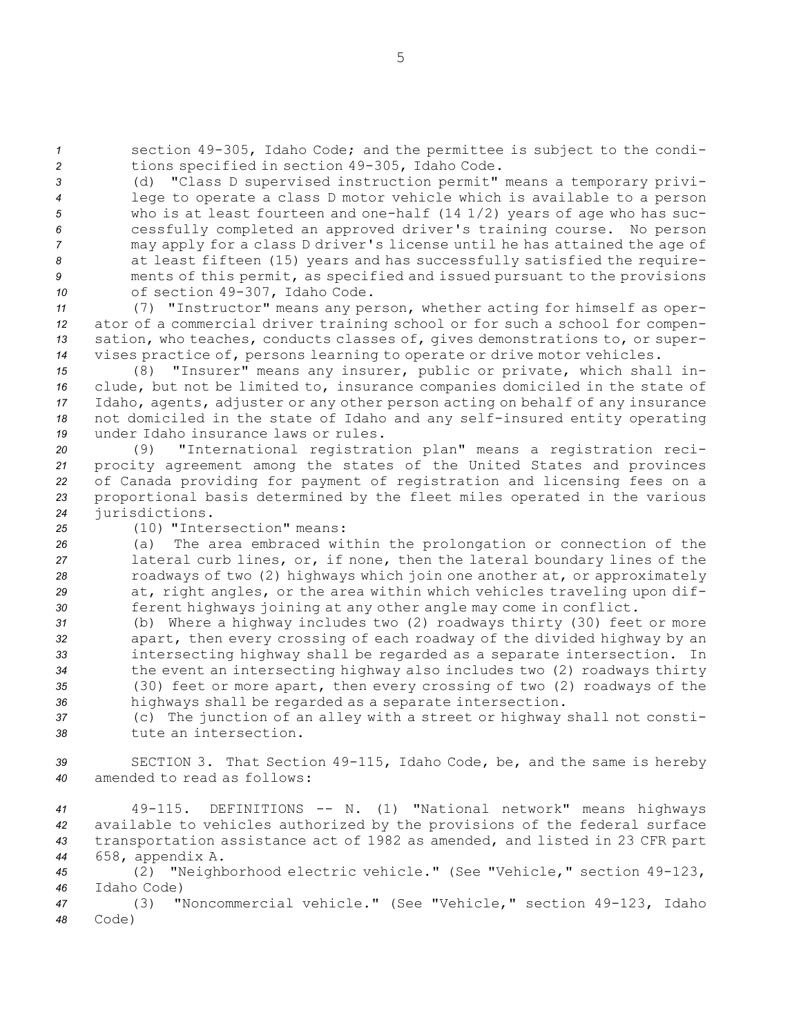*<sup>1</sup>* section 49-305, Idaho Code; and the permittee is subject to the condi-*<sup>2</sup>* tions specified in section 49-305, Idaho Code.

 (d) "Class <sup>D</sup> supervised instruction permit" means <sup>a</sup> temporary privi- lege to operate <sup>a</sup> class <sup>D</sup> motor vehicle which is available to <sup>a</sup> person who is at least fourteen and one-half (14 1/2) years of age who has suc- cessfully completed an approved driver's training course. No person may apply for <sup>a</sup> class <sup>D</sup> driver's license until he has attained the age of at least fifteen (15) years and has successfully satisfied the require- ments of this permit, as specified and issued pursuant to the provisions of section 49-307, Idaho Code.

 (7) "Instructor" means any person, whether acting for himself as oper- ator of <sup>a</sup> commercial driver training school or for such <sup>a</sup> school for compen- sation, who teaches, conducts classes of, gives demonstrations to, or super-vises practice of, persons learning to operate or drive motor vehicles.

 (8) "Insurer" means any insurer, public or private, which shall in- clude, but not be limited to, insurance companies domiciled in the state of Idaho, agents, adjuster or any other person acting on behalf of any insurance not domiciled in the state of Idaho and any self-insured entity operating under Idaho insurance laws or rules.

 (9) "International registration plan" means <sup>a</sup> registration reci- procity agreement among the states of the United States and provinces of Canada providing for payment of registration and licensing fees on <sup>a</sup> proportional basis determined by the fleet miles operated in the various jurisdictions.

*25* (10) "Intersection" means:

 (a) The area embraced within the prolongation or connection of the lateral curb lines, or, if none, then the lateral boundary lines of the roadways of two (2) highways which join one another at, or approximately at, right angles, or the area within which vehicles traveling upon dif-ferent highways joining at any other angle may come in conflict.

 (b) Where <sup>a</sup> highway includes two (2) roadways thirty (30) feet or more apart, then every crossing of each roadway of the divided highway by an intersecting highway shall be regarded as <sup>a</sup> separate intersection. In the event an intersecting highway also includes two (2) roadways thirty (30) feet or more apart, then every crossing of two (2) roadways of the highways shall be regarded as <sup>a</sup> separate intersection.

*<sup>37</sup>* (c) The junction of an alley with <sup>a</sup> street or highway shall not consti-*38* tute an intersection.

*<sup>39</sup>* SECTION 3. That Section 49-115, Idaho Code, be, and the same is hereby *40* amended to read as follows:

 49-115. DEFINITIONS -- N. (1) "National network" means highways available to vehicles authorized by the provisions of the federal surface transportation assistance act of 1982 as amended, and listed in 23 CFR part 658, appendix A.

*<sup>45</sup>* (2) "Neighborhood electric vehicle." (See "Vehicle," section 49-123, *46* Idaho Code)

*<sup>47</sup>* (3) "Noncommercial vehicle." (See "Vehicle," section 49-123, Idaho *48* Code)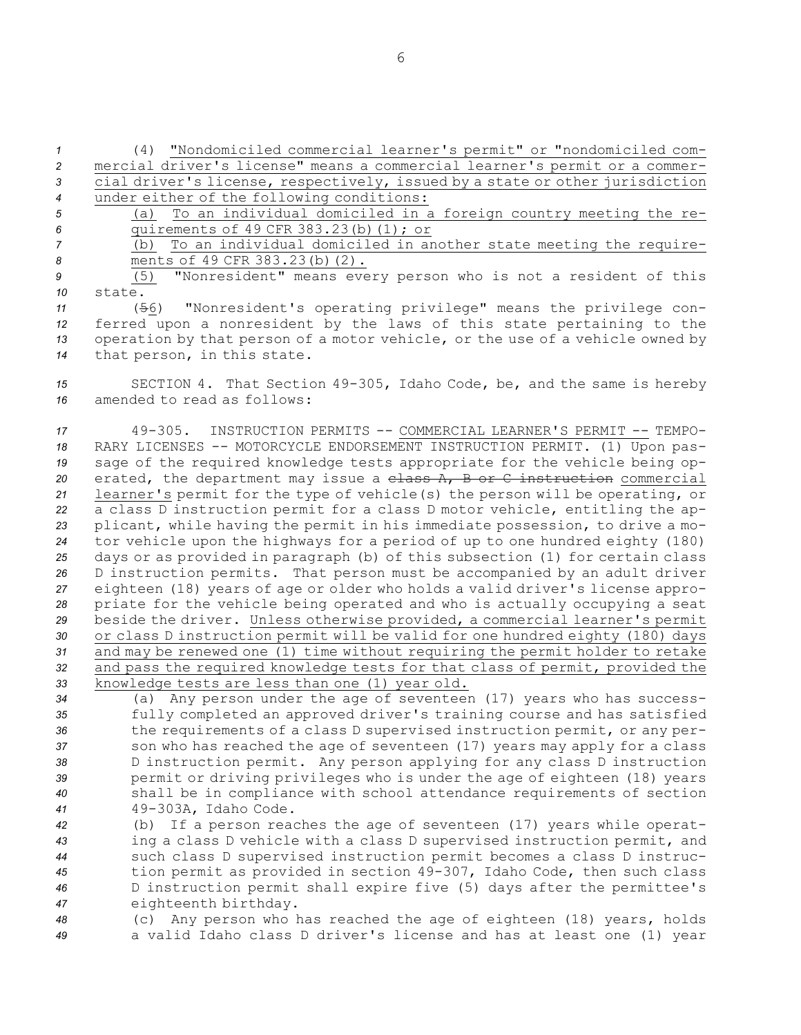(4) "Nondomiciled commercial learner's permit" or "nondomiciled com- mercial driver's license" means <sup>a</sup> commercial learner's permit or <sup>a</sup> commer- cial driver's license, respectively, issued by <sup>a</sup> state or other jurisdiction under either of the following conditions: (a) To an individual domiciled in <sup>a</sup> foreign country meeting the re- quirements of 49 CFR 383.23(b)(1); or (b) To an individual domiciled in another state meeting the require- ments of 49 CFR 383.23(b)(2). (5) "Nonresident" means every person who is not <sup>a</sup> resident of this *10* state. (56) "Nonresident's operating privilege" means the privilege con- ferred upon <sup>a</sup> nonresident by the laws of this state pertaining to the operation by that person of <sup>a</sup> motor vehicle, or the use of <sup>a</sup> vehicle owned by that person, in this state. SECTION 4. That Section 49-305, Idaho Code, be, and the same is hereby amended to read as follows: 49-305. INSTRUCTION PERMITS -- COMMERCIAL LEARNER'S PERMIT -- TEMPO- RARY LICENSES -- MOTORCYCLE ENDORSEMENT INSTRUCTION PERMIT. (1) Upon pas- sage of the required knowledge tests appropriate for the vehicle being op- erated, the department may issue <sup>a</sup> class A, <sup>B</sup> or C instruction commercial learner's permit for the type of vehicle(s) the person will be operating, or <sup>a</sup> class <sup>D</sup> instruction permit for <sup>a</sup> class <sup>D</sup> motor vehicle, entitling the ap- plicant, while having the permit in his immediate possession, to drive <sup>a</sup> mo- tor vehicle upon the highways for <sup>a</sup> period of up to one hundred eighty (180) days or as provided in paragraph (b) of this subsection (1) for certain class <sup>D</sup> instruction permits. That person must be accompanied by an adult driver eighteen (18) years of age or older who holds <sup>a</sup> valid driver's license appro- priate for the vehicle being operated and who is actually occupying <sup>a</sup> seat beside the driver. Unless otherwise provided, <sup>a</sup> commercial learner's permit or class <sup>D</sup> instruction permit will be valid for one hundred eighty (180) days and may be renewed one (1) time without requiring the permit holder to retake and pass the required knowledge tests for that class of permit, provided the knowledge tests are less than one (1) year old.

 (a) Any person under the age of seventeen (17) years who has success- fully completed an approved driver's training course and has satisfied the requirements of <sup>a</sup> class <sup>D</sup> supervised instruction permit, or any per- son who has reached the age of seventeen (17) years may apply for <sup>a</sup> class <sup>D</sup> instruction permit. Any person applying for any class <sup>D</sup> instruction permit or driving privileges who is under the age of eighteen (18) years shall be in compliance with school attendance requirements of section 49-303A, Idaho Code.

 (b) If <sup>a</sup> person reaches the age of seventeen (17) years while operat- ing <sup>a</sup> class <sup>D</sup> vehicle with <sup>a</sup> class <sup>D</sup> supervised instruction permit, and such class <sup>D</sup> supervised instruction permit becomes <sup>a</sup> class <sup>D</sup> instruc- tion permit as provided in section 49-307, Idaho Code, then such class <sup>D</sup> instruction permit shall expire five (5) days after the permittee's eighteenth birthday.

*<sup>48</sup>* (c) Any person who has reached the age of eighteen (18) years, holds *<sup>49</sup>* <sup>a</sup> valid Idaho class <sup>D</sup> driver's license and has at least one (1) year

6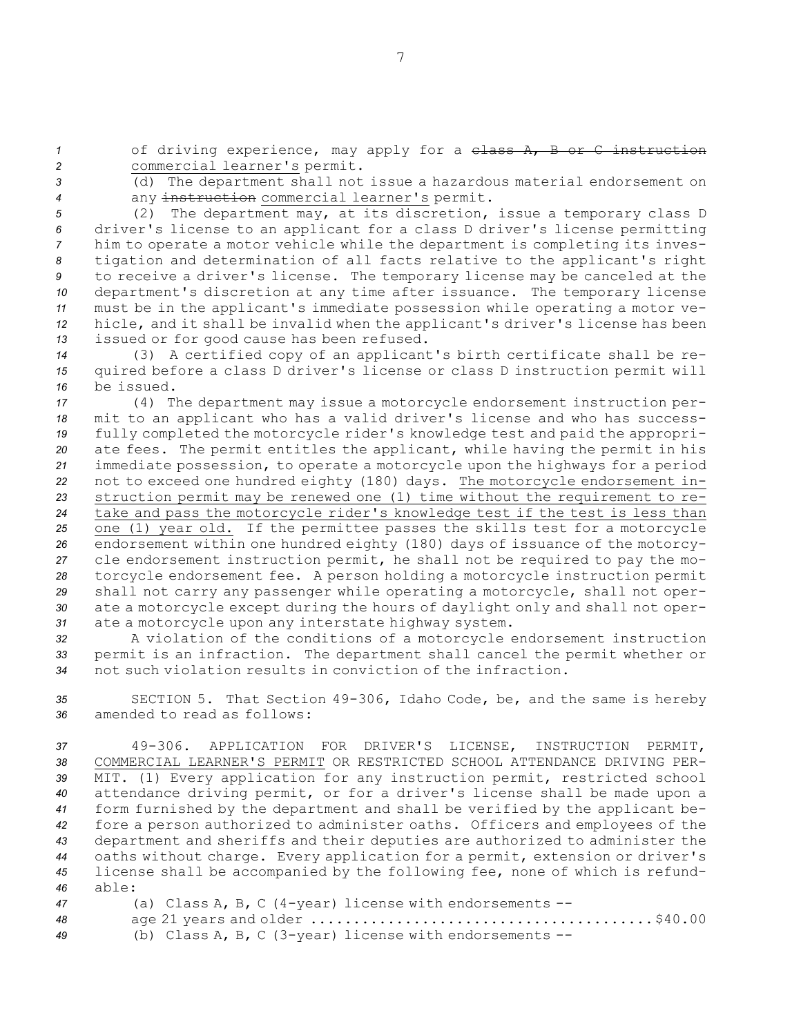1 of driving experience, may apply for a class A, B or C instruction *<sup>2</sup>* commercial learner's permit.

*<sup>3</sup>* (d) The department shall not issue <sup>a</sup> hazardous material endorsement on *<sup>4</sup>* any instruction commercial learner's permit.

 (2) The department may, at its discretion, issue <sup>a</sup> temporary class <sup>D</sup> driver's license to an applicant for <sup>a</sup> class <sup>D</sup> driver's license permitting him to operate <sup>a</sup> motor vehicle while the department is completing its inves- tigation and determination of all facts relative to the applicant's right to receive <sup>a</sup> driver's license. The temporary license may be canceled at the department's discretion at any time after issuance. The temporary license must be in the applicant's immediate possession while operating <sup>a</sup> motor ve- hicle, and it shall be invalid when the applicant's driver's license has been issued or for good cause has been refused.

*<sup>14</sup>* (3) <sup>A</sup> certified copy of an applicant's birth certificate shall be re-*<sup>15</sup>* quired before <sup>a</sup> class <sup>D</sup> driver's license or class <sup>D</sup> instruction permit will *16* be issued.

 (4) The department may issue <sup>a</sup> motorcycle endorsement instruction per- mit to an applicant who has <sup>a</sup> valid driver's license and who has success- fully completed the motorcycle rider's knowledge test and paid the appropri- ate fees. The permit entitles the applicant, while having the permit in his immediate possession, to operate <sup>a</sup> motorcycle upon the highways for <sup>a</sup> period not to exceed one hundred eighty (180) days. The motorcycle endorsement in- struction permit may be renewed one (1) time without the requirement to re- take and pass the motorcycle rider's knowledge test if the test is less than one (1) year old. If the permittee passes the skills test for <sup>a</sup> motorcycle endorsement within one hundred eighty (180) days of issuance of the motorcy- cle endorsement instruction permit, he shall not be required to pay the mo- torcycle endorsement fee. <sup>A</sup> person holding <sup>a</sup> motorcycle instruction permit shall not carry any passenger while operating <sup>a</sup> motorcycle, shall not oper- ate <sup>a</sup> motorcycle except during the hours of daylight only and shall not oper-ate <sup>a</sup> motorcycle upon any interstate highway system.

*<sup>32</sup>* <sup>A</sup> violation of the conditions of <sup>a</sup> motorcycle endorsement instruction *<sup>33</sup>* permit is an infraction. The department shall cancel the permit whether or *34* not such violation results in conviction of the infraction.

*<sup>35</sup>* SECTION 5. That Section 49-306, Idaho Code, be, and the same is hereby *36* amended to read as follows:

 49-306. APPLICATION FOR DRIVER'S LICENSE, INSTRUCTION PERMIT, COMMERCIAL LEARNER'S PERMIT OR RESTRICTED SCHOOL ATTENDANCE DRIVING PER- MIT. (1) Every application for any instruction permit, restricted school attendance driving permit, or for <sup>a</sup> driver's license shall be made upon <sup>a</sup> form furnished by the department and shall be verified by the applicant be- fore <sup>a</sup> person authorized to administer oaths. Officers and employees of the department and sheriffs and their deputies are authorized to administer the oaths without charge. Every application for <sup>a</sup> permit, extension or driver's license shall be accompanied by the following fee, none of which is refund-*46* able:

| 47 | (a) Class A, B, C (4-year) license with endorsements $--$                                       |
|----|-------------------------------------------------------------------------------------------------|
| 48 | age 21 years and older $\dots\dots\dots\dots\dots\dots\dots\dots\dots\dots\dots\dots\dots\dots$ |
| 49 | (b) Class A, B, C (3-year) license with endorsements $--$                                       |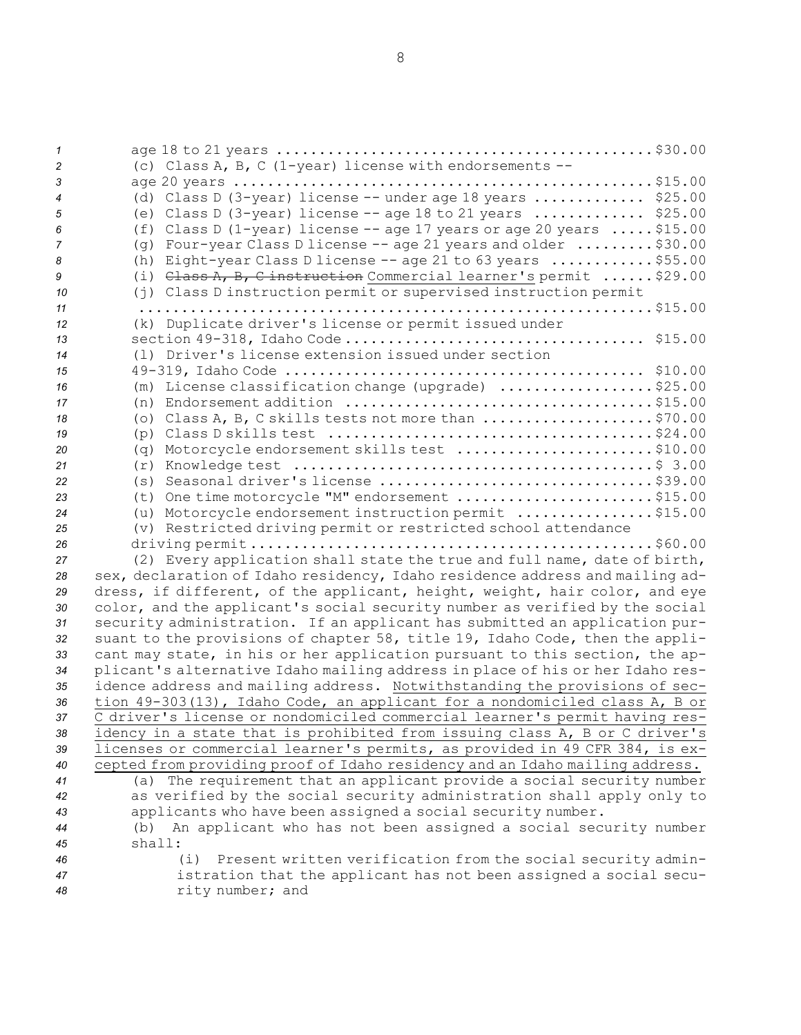8

| $\mathcal{I}$  |                                                                                                                          |
|----------------|--------------------------------------------------------------------------------------------------------------------------|
| 2              | (c) Class A, B, C (1-year) license with endorsements --                                                                  |
| 3              |                                                                                                                          |
| $\overline{4}$ | (d) Class D (3-year) license -- under age 18 years  \$25.00                                                              |
| 5              | (e) Class D (3-year) license $-$ - age 18 to 21 years  \$25.00                                                           |
|                | (f) Class D (1-year) license -- age 17 years or age 20 years $\ldots$ . \$15.00                                          |
| 6              |                                                                                                                          |
| $\overline{7}$ | (q) Four-year Class D license -- age 21 years and older $\dots\dots\dots$ \$30.00                                        |
| 8              | (h) Eight-year Class D license -- age 21 to 63 years \$55.00                                                             |
| 9              | (i) $\theta$ ass A, B, C instruction Commercial learner's permit  \$29.00                                                |
| 10             | (j) Class D instruction permit or supervised instruction permit                                                          |
| 11             |                                                                                                                          |
| 12             | (k) Duplicate driver's license or permit issued under                                                                    |
| 13             |                                                                                                                          |
| 14             | (1) Driver's license extension issued under section                                                                      |
|                |                                                                                                                          |
| 15             |                                                                                                                          |
| 16             | (m) License classification change (upgrade) \$25.00                                                                      |
| 17             | (n) Endorsement addition $\ldots \ldots \ldots \ldots \ldots \ldots \ldots \ldots \ldots \ldots \ldots$ \$15.00          |
| 18             | (o) Class A, B, C skills tests not more than \$70.00                                                                     |
| 19             | (p) Class D skills test $\ldots \ldots \ldots \ldots \ldots \ldots \ldots \ldots \ldots \ldots \ldots \ldots \}$ \$24.00 |
| 20             | (q) Motorcycle endorsement skills test \$10.00                                                                           |
| 21             |                                                                                                                          |
| 22             |                                                                                                                          |
| 23             | (t) One time motorcycle "M" endorsement \$15.00                                                                          |
| 24             | (u) Motorcycle endorsement instruction permit \$15.00                                                                    |
|                |                                                                                                                          |
| 25             | (v) Restricted driving permit or restricted school attendance                                                            |
| 26             |                                                                                                                          |
| 27             | (2) Every application shall state the true and full name, date of birth,                                                 |
| 28             | sex, declaration of Idaho residency, Idaho residence address and mailing ad-                                             |
| 29             | dress, if different, of the applicant, height, weight, hair color, and eye                                               |
| 30             | color, and the applicant's social security number as verified by the social                                              |
| 31             | security administration. If an applicant has submitted an application pur-                                               |
| 32             | suant to the provisions of chapter 58, title 19, Idaho Code, then the appli-                                             |
| 33             | cant may state, in his or her application pursuant to this section, the ap-                                              |
| 34             | plicant's alternative Idaho mailing address in place of his or her Idaho res-                                            |
| 35             | idence address and mailing address. Notwithstanding the provisions of sec-                                               |
| 36             | tion 49-303(13), Idaho Code, an applicant for a nondomiciled class A, B or                                               |
|                |                                                                                                                          |
| 37             | C driver's license or nondomiciled commercial learner's permit having res-                                               |
| 38             | idency in a state that is prohibited from issuing class A, B or C driver's                                               |
| 39             | licenses or commercial learner's permits, as provided in 49 CFR 384, is ex-                                              |
| 40             | cepted from providing proof of Idaho residency and an Idaho mailing address.                                             |
| 41             | (a) The requirement that an applicant provide a social security number                                                   |
| 42             | as verified by the social security administration shall apply only to                                                    |
| 43             | applicants who have been assigned a social security number.                                                              |
| 44             | An applicant who has not been assigned a social security number<br>(b)                                                   |
| 45             | shall:                                                                                                                   |
| 46             | (i)<br>Present written verification from the social security admin-                                                      |
| 47             | istration that the applicant has not been assigned a social secu-                                                        |
| 48             | rity number; and                                                                                                         |
|                |                                                                                                                          |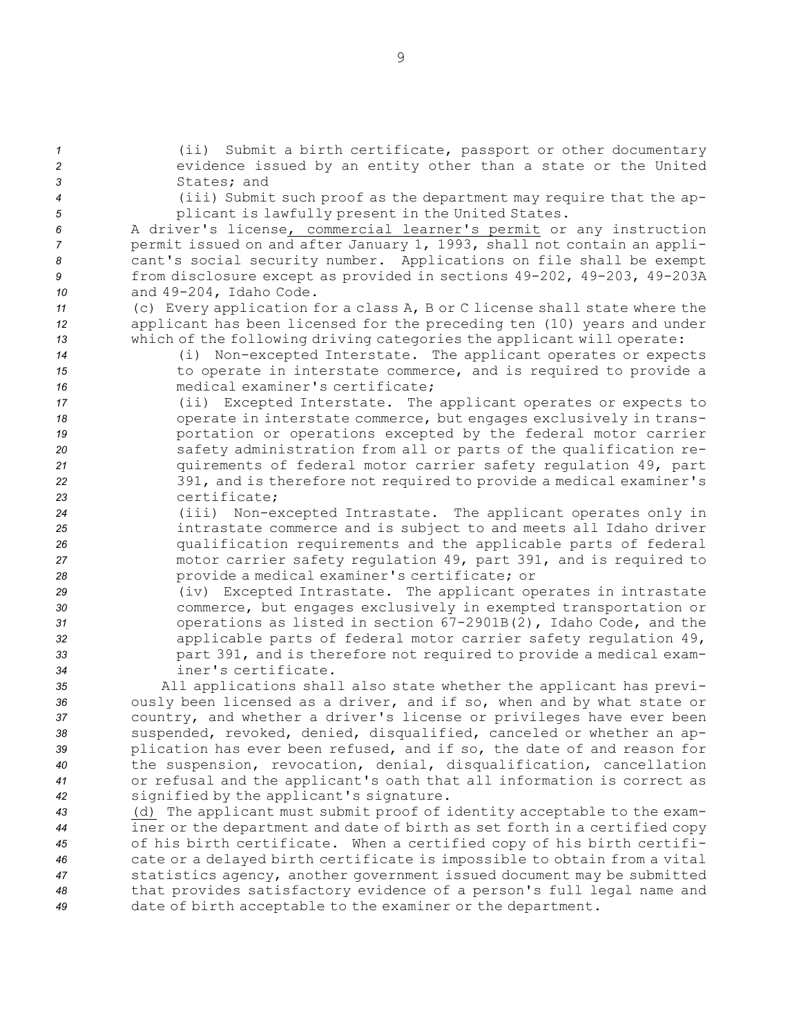*<sup>1</sup>* (ii) Submit <sup>a</sup> birth certificate, passport or other documentary *<sup>2</sup>* evidence issued by an entity other than <sup>a</sup> state or the United *3* States; and

- 
- 

*<sup>4</sup>* (iii) Submit such proof as the department may require that the ap-*<sup>5</sup>* plicant is lawfully present in the United States.

 <sup>A</sup> driver's license, commercial learner's permit or any instruction permit issued on and after January 1, 1993, shall not contain an appli- cant's social security number. Applications on file shall be exempt from disclosure except as provided in sections 49-202, 49-203, 49-203A and 49-204, Idaho Code.

*<sup>11</sup>* (c) Every application for <sup>a</sup> class A, <sup>B</sup> or C license shall state where the *<sup>12</sup>* applicant has been licensed for the preceding ten (10) years and under *<sup>13</sup>* which of the following driving categories the applicant will operate:

*<sup>14</sup>* (i) Non-excepted Interstate. The applicant operates or expects 15 to operate in interstate commerce, and is required to provide a *16* medical examiner's certificate;

 (ii) Excepted Interstate. The applicant operates or expects to 18 operate in interstate commerce, but engages exclusively in trans-**19** portation or operations excepted by the federal motor carrier safety administration from all or parts of the qualification re- quirements of federal motor carrier safety regulation 49, part 391, and is therefore not required to provide <sup>a</sup> medical examiner's certificate;

- *<sup>24</sup>* (iii) Non-excepted Intrastate. The applicant operates only in *<sup>25</sup>* intrastate commerce and is subject to and meets all Idaho driver *<sup>26</sup>* qualification requirements and the applicable parts of federal *<sup>27</sup>* motor carrier safety regulation 49, part 391, and is required to *<sup>28</sup>* provide <sup>a</sup> medical examiner's certificate; or
- *<sup>29</sup>* (iv) Excepted Intrastate. The applicant operates in intrastate *<sup>30</sup>* commerce, but engages exclusively in exempted transportation or *<sup>31</sup>* operations as listed in section 67-2901B(2), Idaho Code, and the *<sup>32</sup>* applicable parts of federal motor carrier safety regulation 49, *<sup>33</sup>* part 391, and is therefore not required to provide <sup>a</sup> medical exam-*34* iner's certificate.

 All applications shall also state whether the applicant has previ- ously been licensed as <sup>a</sup> driver, and if so, when and by what state or country, and whether <sup>a</sup> driver's license or privileges have ever been suspended, revoked, denied, disqualified, canceled or whether an ap- plication has ever been refused, and if so, the date of and reason for the suspension, revocation, denial, disqualification, cancellation or refusal and the applicant's oath that all information is correct as signified by the applicant's signature.

 (d) The applicant must submit proof of identity acceptable to the exam- iner or the department and date of birth as set forth in <sup>a</sup> certified copy of his birth certificate. When <sup>a</sup> certified copy of his birth certifi- cate or <sup>a</sup> delayed birth certificate is impossible to obtain from <sup>a</sup> vital statistics agency, another government issued document may be submitted that provides satisfactory evidence of <sup>a</sup> person's full legal name and date of birth acceptable to the examiner or the department.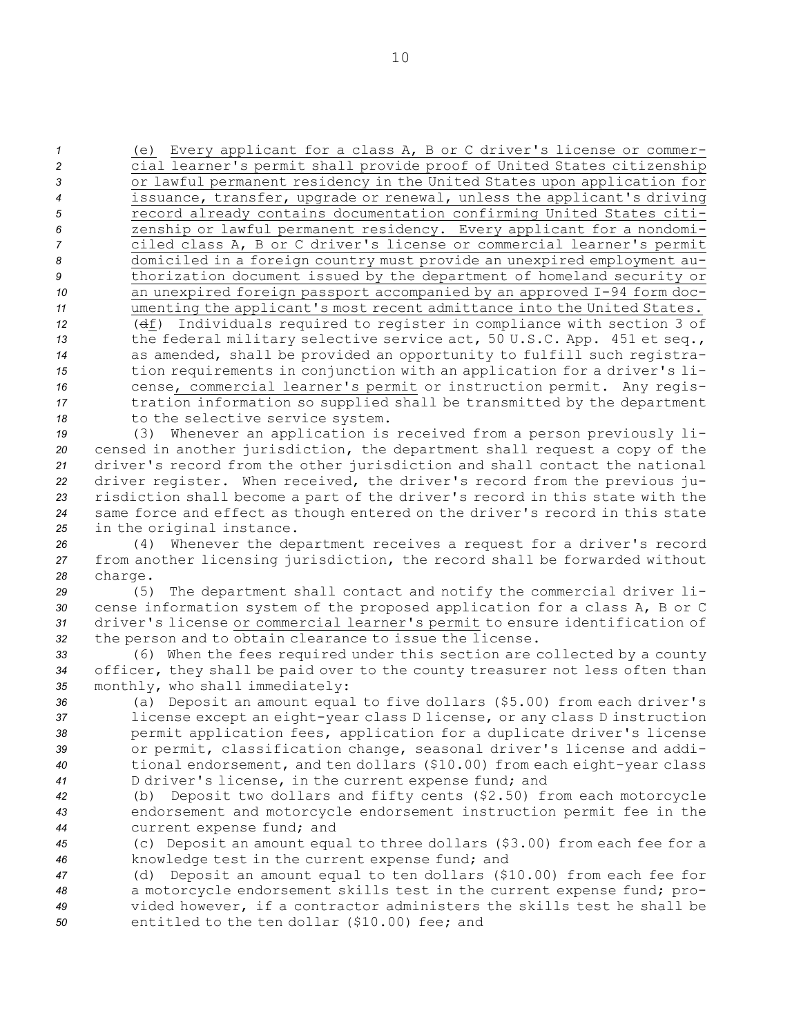(e) Every applicant for <sup>a</sup> class A, <sup>B</sup> or C driver's license or commer- cial learner's permit shall provide proof of United States citizenship or lawful permanent residency in the United States upon application for issuance, transfer, upgrade or renewal, unless the applicant's driving record already contains documentation confirming United States citi- zenship or lawful permanent residency. Every applicant for <sup>a</sup> nondomi- ciled class A, <sup>B</sup> or C driver's license or commercial learner's permit domiciled in <sup>a</sup> foreign country must provide an unexpired employment au- thorization document issued by the department of homeland security or an unexpired foreign passport accompanied by an approved I-94 form doc- umenting the applicant's most recent admittance into the United States. (df) Individuals required to register in compliance with section 3 of the federal military selective service act, 50 U.S.C. App. 451 et seq., as amended, shall be provided an opportunity to fulfill such registra- tion requirements in conjunction with an application for <sup>a</sup> driver's li- cense, commercial learner's permit or instruction permit. Any regis- tration information so supplied shall be transmitted by the department 18 to the selective service system.

 (3) Whenever an application is received from <sup>a</sup> person previously li- censed in another jurisdiction, the department shall request <sup>a</sup> copy of the driver's record from the other jurisdiction and shall contact the national driver register. When received, the driver's record from the previous ju- risdiction shall become <sup>a</sup> part of the driver's record in this state with the same force and effect as though entered on the driver's record in this state in the original instance.

*<sup>26</sup>* (4) Whenever the department receives <sup>a</sup> request for <sup>a</sup> driver's record *<sup>27</sup>* from another licensing jurisdiction, the record shall be forwarded without *<sup>28</sup>* charge.

 (5) The department shall contact and notify the commercial driver li- cense information system of the proposed application for <sup>a</sup> class A, <sup>B</sup> or C driver's license or commercial learner's permit to ensure identification of the person and to obtain clearance to issue the license.

*<sup>33</sup>* (6) When the fees required under this section are collected by <sup>a</sup> county *<sup>34</sup>* officer, they shall be paid over to the county treasurer not less often than *<sup>35</sup>* monthly, who shall immediately:

 (a) Deposit an amount equal to five dollars (\$5.00) from each driver's license except an eight-year class <sup>D</sup> license, or any class <sup>D</sup> instruction permit application fees, application for <sup>a</sup> duplicate driver's license or permit, classification change, seasonal driver's license and addi- tional endorsement, and ten dollars (\$10.00) from each eight-year class <sup>D</sup> driver's license, in the current expense fund; and

*<sup>42</sup>* (b) Deposit two dollars and fifty cents (\$2.50) from each motorcycle *<sup>43</sup>* endorsement and motorcycle endorsement instruction permit fee in the *<sup>44</sup>* current expense fund; and

*<sup>45</sup>* (c) Deposit an amount equal to three dollars (\$3.00) from each fee for <sup>a</sup> *<sup>46</sup>* knowledge test in the current expense fund; and

 (d) Deposit an amount equal to ten dollars (\$10.00) from each fee for <sup>a</sup> motorcycle endorsement skills test in the current expense fund; pro- vided however, if <sup>a</sup> contractor administers the skills test he shall be entitled to the ten dollar (\$10.00) fee; and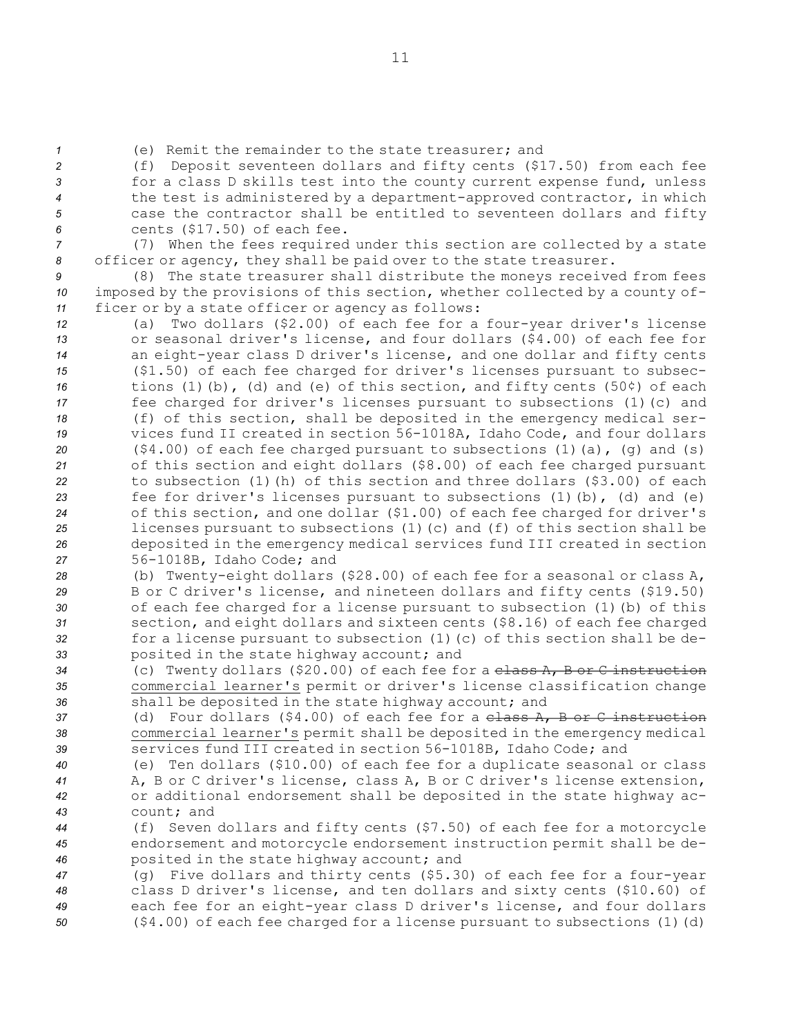*<sup>1</sup>* (e) Remit the remainder to the state treasurer; and

 (f) Deposit seventeen dollars and fifty cents (\$17.50) from each fee for <sup>a</sup> class <sup>D</sup> skills test into the county current expense fund, unless the test is administered by <sup>a</sup> department-approved contractor, in which case the contractor shall be entitled to seventeen dollars and fifty cents (\$17.50) of each fee.

*<sup>7</sup>* (7) When the fees required under this section are collected by <sup>a</sup> state *<sup>8</sup>* officer or agency, they shall be paid over to the state treasurer.

*<sup>9</sup>* (8) The state treasurer shall distribute the moneys received from fees *<sup>10</sup>* imposed by the provisions of this section, whether collected by <sup>a</sup> county of-*<sup>11</sup>* ficer or by <sup>a</sup> state officer or agency as follows:

 (a) Two dollars (\$2.00) of each fee for <sup>a</sup> four-year driver's license or seasonal driver's license, and four dollars (\$4.00) of each fee for an eight-year class <sup>D</sup> driver's license, and one dollar and fifty cents (\$1.50) of each fee charged for driver's licenses pursuant to subsec- tions (1)(b), (d) and (e) of this section, and fifty cents (50¢) of each fee charged for driver's licenses pursuant to subsections (1)(c) and (f) of this section, shall be deposited in the emergency medical ser- vices fund II created in section 56-1018A, Idaho Code, and four dollars (\$4.00) of each fee charged pursuant to subsections (1)(a), (g) and (s) of this section and eight dollars (\$8.00) of each fee charged pursuant to subsection (1)(h) of this section and three dollars (\$3.00) of each fee for driver's licenses pursuant to subsections (1)(b), (d) and (e) of this section, and one dollar (\$1.00) of each fee charged for driver's licenses pursuant to subsections (1)(c) and (f) of this section shall be deposited in the emergency medical services fund III created in section 56-1018B, Idaho Code; and

 (b) Twenty-eight dollars (\$28.00) of each fee for <sup>a</sup> seasonal or class A, <sup>B</sup> or C driver's license, and nineteen dollars and fifty cents (\$19.50) of each fee charged for <sup>a</sup> license pursuant to subsection (1)(b) of this section, and eight dollars and sixteen cents (\$8.16) of each fee charged for <sup>a</sup> license pursuant to subsection (1)(c) of this section shall be de-posited in the state highway account; and

*<sup>34</sup>* (c) Twenty dollars (\$20.00) of each fee for <sup>a</sup> class A, <sup>B</sup> or C instruction *<sup>35</sup>* commercial learner's permit or driver's license classification change *<sup>36</sup>* shall be deposited in the state highway account; and

*<sup>37</sup>* (d) Four dollars (\$4.00) of each fee for <sup>a</sup> class A, B or C instruction *<sup>38</sup>* commercial learner's permit shall be deposited in the emergency medical *<sup>39</sup>* services fund III created in section 56-1018B, Idaho Code; and

 (e) Ten dollars (\$10.00) of each fee for <sup>a</sup> duplicate seasonal or class A, B or C driver's license, class A, B or C driver's license extension, or additional endorsement shall be deposited in the state highway ac-count; and

*<sup>44</sup>* (f) Seven dollars and fifty cents (\$7.50) of each fee for <sup>a</sup> motorcycle *<sup>45</sup>* endorsement and motorcycle endorsement instruction permit shall be de-*<sup>46</sup>* posited in the state highway account; and

 (g) Five dollars and thirty cents (\$5.30) of each fee for <sup>a</sup> four-year class <sup>D</sup> driver's license, and ten dollars and sixty cents (\$10.60) of each fee for an eight-year class <sup>D</sup> driver's license, and four dollars (\$4.00) of each fee charged for <sup>a</sup> license pursuant to subsections (1)(d)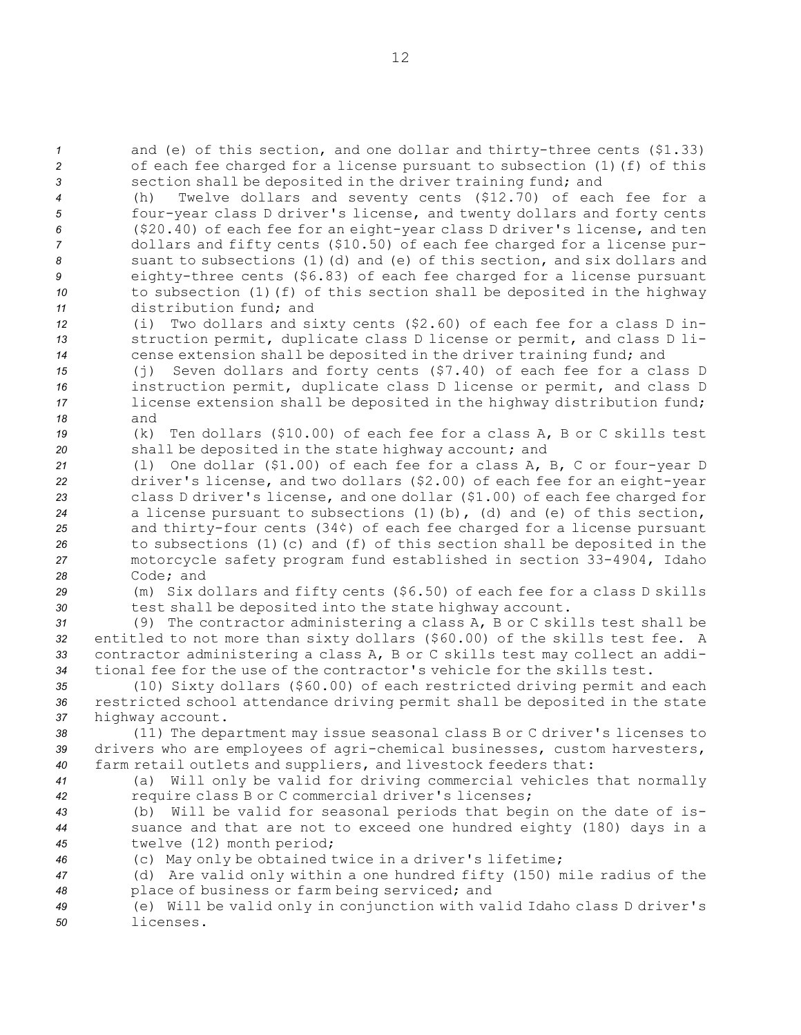*<sup>1</sup>* and (e) of this section, and one dollar and thirty-three cents (\$1.33) *<sup>2</sup>* of each fee charged for <sup>a</sup> license pursuant to subsection (1)(f) of this *<sup>3</sup>* section shall be deposited in the driver training fund; and

 (h) Twelve dollars and seventy cents (\$12.70) of each fee for <sup>a</sup> four-year class <sup>D</sup> driver's license, and twenty dollars and forty cents (\$20.40) of each fee for an eight-year class <sup>D</sup> driver's license, and ten dollars and fifty cents (\$10.50) of each fee charged for <sup>a</sup> license pur- suant to subsections (1)(d) and (e) of this section, and six dollars and eighty-three cents (\$6.83) of each fee charged for <sup>a</sup> license pursuant 10 to subsection (1)(f) of this section shall be deposited in the highway distribution fund; and

*<sup>12</sup>* (i) Two dollars and sixty cents (\$2.60) of each fee for <sup>a</sup> class <sup>D</sup> in-*<sup>13</sup>* struction permit, duplicate class <sup>D</sup> license or permit, and class <sup>D</sup> li-*<sup>14</sup>* cense extension shall be deposited in the driver training fund; and

 (j) Seven dollars and forty cents (\$7.40) of each fee for <sup>a</sup> class <sup>D</sup> instruction permit, duplicate class <sup>D</sup> license or permit, and class <sup>D</sup> license extension shall be deposited in the highway distribution fund; *18* and

*<sup>19</sup>* (k) Ten dollars (\$10.00) of each fee for <sup>a</sup> class A, B or C skills test *<sup>20</sup>* shall be deposited in the state highway account; and

- *<sup>21</sup>* (l) One dollar (\$1.00) of each fee for <sup>a</sup> class A, B, C or four-year <sup>D</sup> *<sup>22</sup>* driver's license, and two dollars (\$2.00) of each fee for an eight-year *<sup>23</sup>* class <sup>D</sup> driver's license, and one dollar (\$1.00) of each fee charged for *<sup>24</sup>* <sup>a</sup> license pursuant to subsections (1)(b), (d) and (e) of this section, *<sup>25</sup>* and thirty-four cents (34¢) of each fee charged for <sup>a</sup> license pursuant *<sup>26</sup>* to subsections (1)(c) and (f) of this section shall be deposited in the *<sup>27</sup>* motorcycle safety program fund established in section 33-4904, Idaho *28* Code; and
- 

*<sup>29</sup>* (m) Six dollars and fifty cents (\$6.50) of each fee for <sup>a</sup> class <sup>D</sup> skills *<sup>30</sup>* test shall be deposited into the state highway account.

 (9) The contractor administering <sup>a</sup> class A, <sup>B</sup> or C skills test shall be entitled to not more than sixty dollars (\$60.00) of the skills test fee. <sup>A</sup> contractor administering <sup>a</sup> class A, <sup>B</sup> or C skills test may collect an addi-tional fee for the use of the contractor's vehicle for the skills test.

*<sup>35</sup>* (10) Sixty dollars (\$60.00) of each restricted driving permit and each *<sup>36</sup>* restricted school attendance driving permit shall be deposited in the state *<sup>37</sup>* highway account.

 (11) The department may issue seasonal class <sup>B</sup> or C driver's licenses to drivers who are employees of agri-chemical businesses, custom harvesters, farm retail outlets and suppliers, and livestock feeders that: (a) Will only be valid for driving commercial vehicles that normally

- 
- 

 require class <sup>B</sup> or C commercial driver's licenses; (b) Will be valid for seasonal periods that begin on the date of is- suance and that are not to exceed one hundred eighty (180) days in <sup>a</sup> twelve (12) month period;

*<sup>46</sup>* (c) May only be obtained twice in <sup>a</sup> driver's lifetime;

*<sup>47</sup>* (d) Are valid only within <sup>a</sup> one hundred fifty (150) mile radius of the *<sup>48</sup>* place of business or farm being serviced; and

*<sup>49</sup>* (e) Will be valid only in conjunction with valid Idaho class <sup>D</sup> driver's *50* licenses.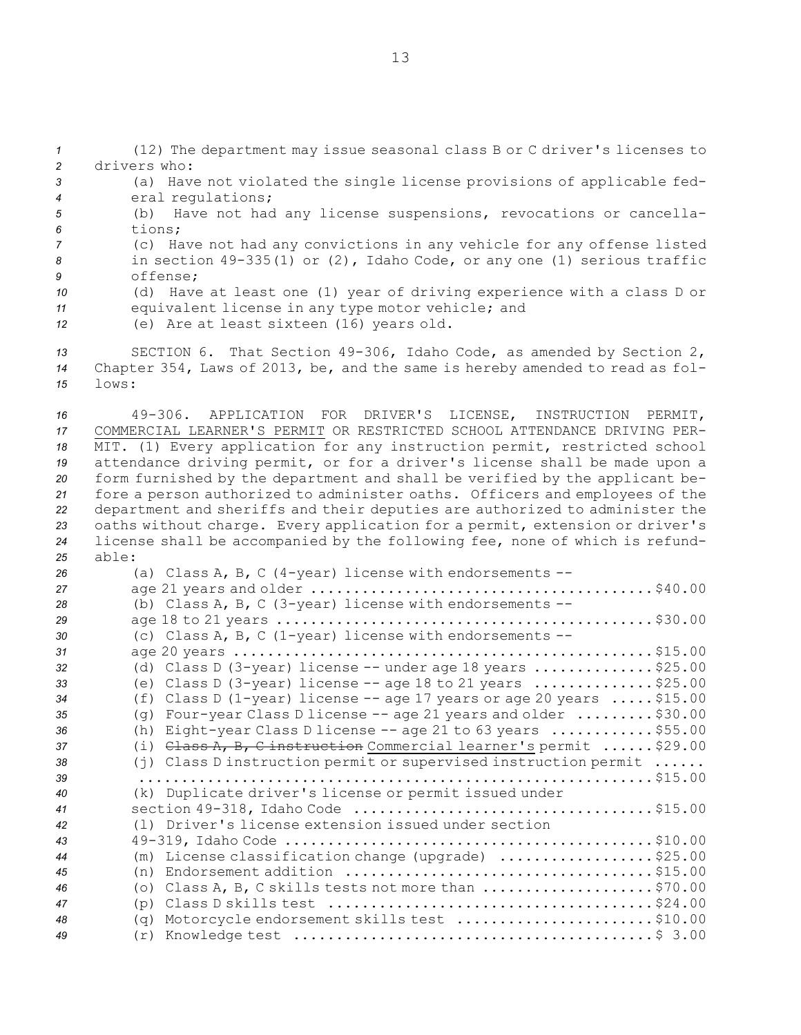(12) The department may issue seasonal class <sup>B</sup> or C driver's licenses to drivers who: (a) Have not violated the single license provisions of applicable fed- eral regulations; (b) Have not had any license suspensions, revocations or cancella-*6* tions; (c) Have not had any convictions in any vehicle for any offense listed in section 49-335(1) or (2), Idaho Code, or any one (1) serious traffic *9* offense; (d) Have at least one (1) year of driving experience with <sup>a</sup> class <sup>D</sup> or equivalent license in any type motor vehicle; and (e) Are at least sixteen (16) years old.

*<sup>13</sup>* SECTION 6. That Section 49-306, Idaho Code, as amended by Section 2, *<sup>14</sup>* Chapter 354, Laws of 2013, be, and the same is hereby amended to read as fol-*15* lows:

 49-306. APPLICATION FOR DRIVER'S LICENSE, INSTRUCTION PERMIT, COMMERCIAL LEARNER'S PERMIT OR RESTRICTED SCHOOL ATTENDANCE DRIVING PER- MIT. (1) Every application for any instruction permit, restricted school attendance driving permit, or for <sup>a</sup> driver's license shall be made upon <sup>a</sup> form furnished by the department and shall be verified by the applicant be- fore <sup>a</sup> person authorized to administer oaths. Officers and employees of the department and sheriffs and their deputies are authorized to administer the oaths without charge. Every application for <sup>a</sup> permit, extension or driver's license shall be accompanied by the following fee, none of which is refund-*25* able:

| 26 | (a) Class A, B, C (4-year) license with endorsements $--$                                        |
|----|--------------------------------------------------------------------------------------------------|
| 27 |                                                                                                  |
| 28 | (b) Class A, B, C $(3 - year)$ license with endorsements $--$                                    |
| 29 |                                                                                                  |
| 30 | (c) Class A, B, C (1-year) license with endorsements $--$                                        |
| 31 |                                                                                                  |
| 32 | (d) Class D $(3 - year)$ license $-$ - under age 18 years \$25.00                                |
| 33 | (e) Class D (3-year) license $-$ - age 18 to 21 years \$25.00                                    |
| 34 | (f) Class D (1-year) license $-$ - age 17 years or age 20 years  \$15.00                         |
| 35 | (q) Four-year Class D license -- age 21 years and older $\ldots \ldots \ldots$ \$30.00           |
| 36 | Eight-year Class D license -- age 21 to 63 years  \$55.00<br>(h)                                 |
| 37 | (i) $\theta$ ass A, B, C instruction Commercial learner's permit  \$29.00                        |
| 38 | $(i)$ Class D instruction permit or supervised instruction permit                                |
| 39 |                                                                                                  |
| 40 | (k) Duplicate driver's license or permit issued under                                            |
| 41 |                                                                                                  |
| 42 | (1) Driver's license extension issued under section                                              |
| 43 |                                                                                                  |
| 44 | (m) License classification change (upgrade) \$25.00                                              |
| 45 |                                                                                                  |
| 46 | (o) Class A, B, C skills tests not more than $\ldots \ldots \ldots \ldots \ldots \ldots$ \$70.00 |
| 47 |                                                                                                  |
| 48 | (q) Motorcycle endorsement skills test \$10.00                                                   |
| 49 |                                                                                                  |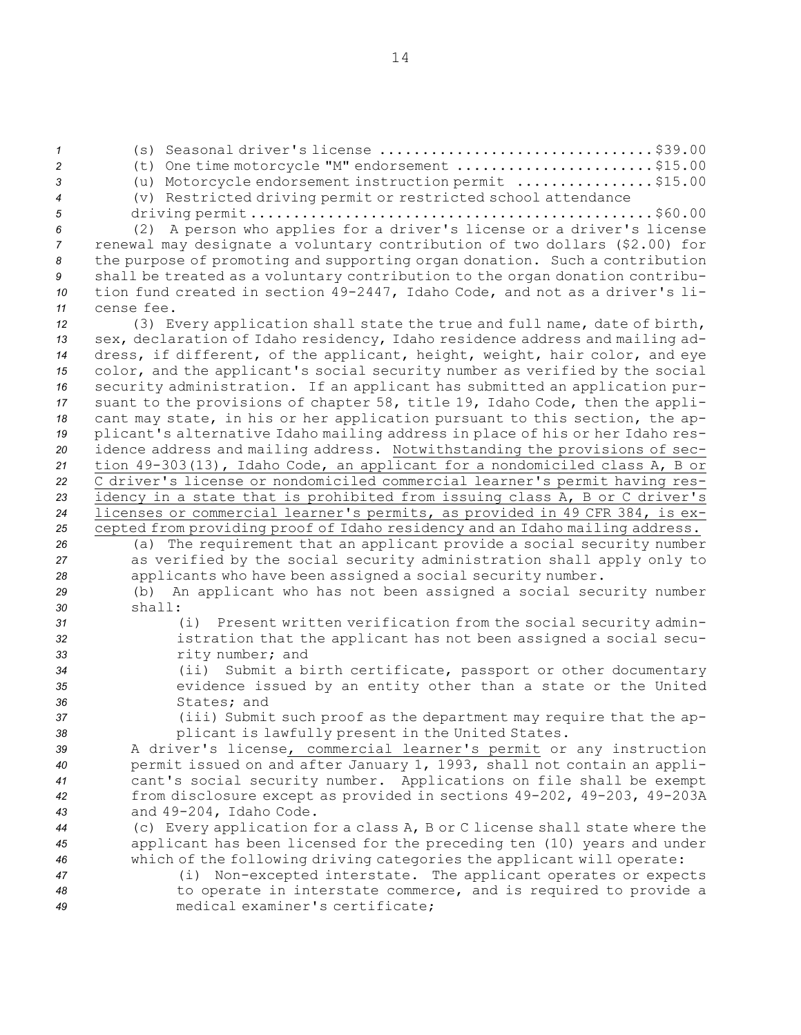(s) Seasonal driver's license ................................\$39.00 (t) One time motorcycle "M" endorsement .......................\$15.00 (u) Motorcycle endorsement instruction permit ................\$15.00 (v) Restricted driving permit or restricted school attendance driving permit ...............................................\$60.00 (2) <sup>A</sup> person who applies for <sup>a</sup> driver's license or <sup>a</sup> driver's license renewal may designate <sup>a</sup> voluntary contribution of two dollars (\$2.00) for the purpose of promoting and supporting organ donation. Such <sup>a</sup> contribution shall be treated as <sup>a</sup> voluntary contribution to the organ donation contribu- tion fund created in section 49-2447, Idaho Code, and not as <sup>a</sup> driver's li- cense fee. (3) Every application shall state the true and full name, date of birth, sex, declaration of Idaho residency, Idaho residence address and mailing ad- dress, if different, of the applicant, height, weight, hair color, and eye color, and the applicant's social security number as verified by the social security administration. If an applicant has submitted an application pur- suant to the provisions of chapter 58, title 19, Idaho Code, then the appli- cant may state, in his or her application pursuant to this section, the ap- plicant's alternative Idaho mailing address in place of his or her Idaho res- idence address and mailing address. Notwithstanding the provisions of sec- tion 49-303(13), Idaho Code, an applicant for <sup>a</sup> nondomiciled class A, <sup>B</sup> or C driver's license or nondomiciled commercial learner's permit having res- idency in <sup>a</sup> state that is prohibited from issuing class A, <sup>B</sup> or C driver's licenses or commercial learner's permits, as provided in 49 CFR 384, is ex- cepted from providing proof of Idaho residency and an Idaho mailing address. (a) The requirement that an applicant provide <sup>a</sup> social security number as verified by the social security administration shall apply only to applicants who have been assigned <sup>a</sup> social security number. (b) An applicant who has not been assigned <sup>a</sup> social security number *30* shall: (i) Present written verification from the social security admin- istration that the applicant has not been assigned <sup>a</sup> social secu- rity number; and (ii) Submit <sup>a</sup> birth certificate, passport or other documentary evidence issued by an entity other than <sup>a</sup> state or the United States; and (iii) Submit such proof as the department may require that the ap- plicant is lawfully present in the United States. <sup>A</sup> driver's license, commercial learner's permit or any instruction permit issued on and after January 1, 1993, shall not contain an appli- cant's social security number. Applications on file shall be exempt from disclosure except as provided in sections 49-202, 49-203, 49-203A and 49-204, Idaho Code. (c) Every application for <sup>a</sup> class A, <sup>B</sup> or C license shall state where the applicant has been licensed for the preceding ten (10) years and under which of the following driving categories the applicant will operate: (i) Non-excepted interstate. The applicant operates or expects to operate in interstate commerce, and is required to provide <sup>a</sup> medical examiner's certificate;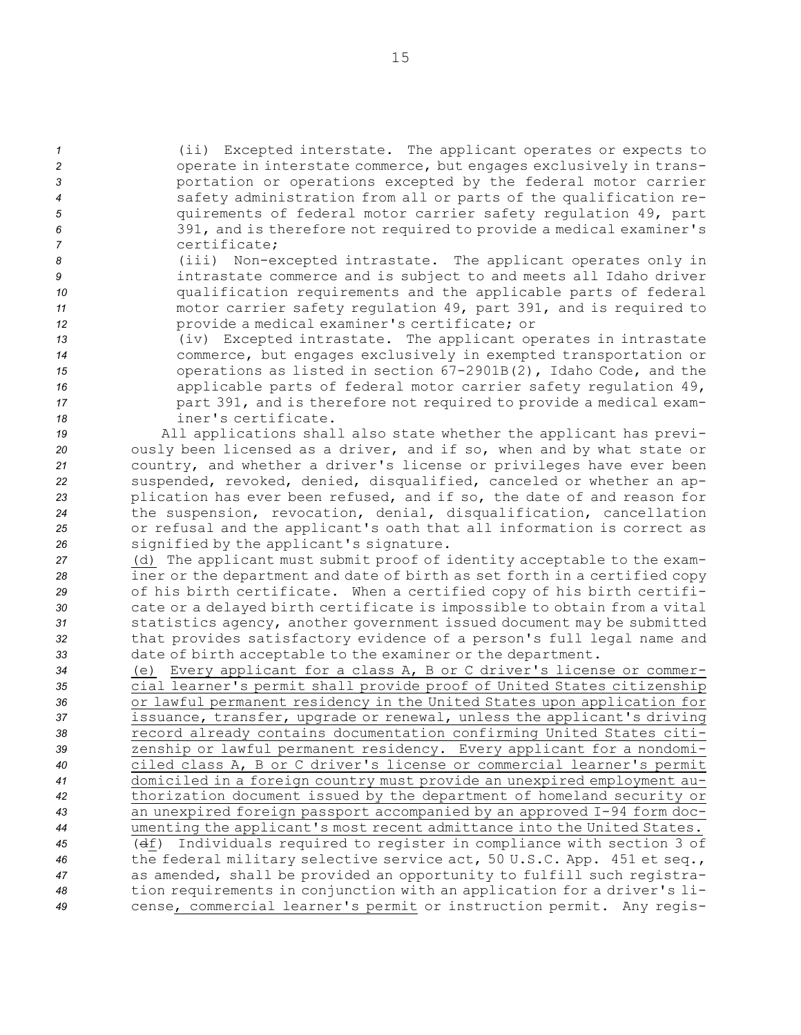(ii) Excepted interstate. The applicant operates or expects to **2** operate in interstate commerce, but engages exclusively in trans- portation or operations excepted by the federal motor carrier safety administration from all or parts of the qualification re- quirements of federal motor carrier safety regulation 49, part 391, and is therefore not required to provide <sup>a</sup> medical examiner's certificate;

 (iii) Non-excepted intrastate. The applicant operates only in intrastate commerce and is subject to and meets all Idaho driver qualification requirements and the applicable parts of federal motor carrier safety regulation 49, part 391, and is required to provide <sup>a</sup> medical examiner's certificate; or

 (iv) Excepted intrastate. The applicant operates in intrastate commerce, but engages exclusively in exempted transportation or operations as listed in section 67-2901B(2), Idaho Code, and the applicable parts of federal motor carrier safety regulation 49, part 391, and is therefore not required to provide <sup>a</sup> medical exam-iner's certificate.

 All applications shall also state whether the applicant has previ- ously been licensed as <sup>a</sup> driver, and if so, when and by what state or country, and whether <sup>a</sup> driver's license or privileges have ever been suspended, revoked, denied, disqualified, canceled or whether an ap- plication has ever been refused, and if so, the date of and reason for the suspension, revocation, denial, disqualification, cancellation or refusal and the applicant's oath that all information is correct as signified by the applicant's signature.

 (d) The applicant must submit proof of identity acceptable to the exam- iner or the department and date of birth as set forth in <sup>a</sup> certified copy of his birth certificate. When <sup>a</sup> certified copy of his birth certifi- cate or <sup>a</sup> delayed birth certificate is impossible to obtain from <sup>a</sup> vital statistics agency, another government issued document may be submitted that provides satisfactory evidence of <sup>a</sup> person's full legal name and date of birth acceptable to the examiner or the department.

 (e) Every applicant for <sup>a</sup> class A, <sup>B</sup> or C driver's license or commer- cial learner's permit shall provide proof of United States citizenship or lawful permanent residency in the United States upon application for issuance, transfer, upgrade or renewal, unless the applicant's driving record already contains documentation confirming United States citi- zenship or lawful permanent residency. Every applicant for <sup>a</sup> nondomi- ciled class A, <sup>B</sup> or C driver's license or commercial learner's permit domiciled in <sup>a</sup> foreign country must provide an unexpired employment au- thorization document issued by the department of homeland security or an unexpired foreign passport accompanied by an approved I-94 form doc- umenting the applicant's most recent admittance into the United States. (df) Individuals required to register in compliance with section 3 of the federal military selective service act, 50 U.S.C. App. 451 et seq., as amended, shall be provided an opportunity to fulfill such registra- tion requirements in conjunction with an application for <sup>a</sup> driver's li-cense, commercial learner's permit or instruction permit. Any regis-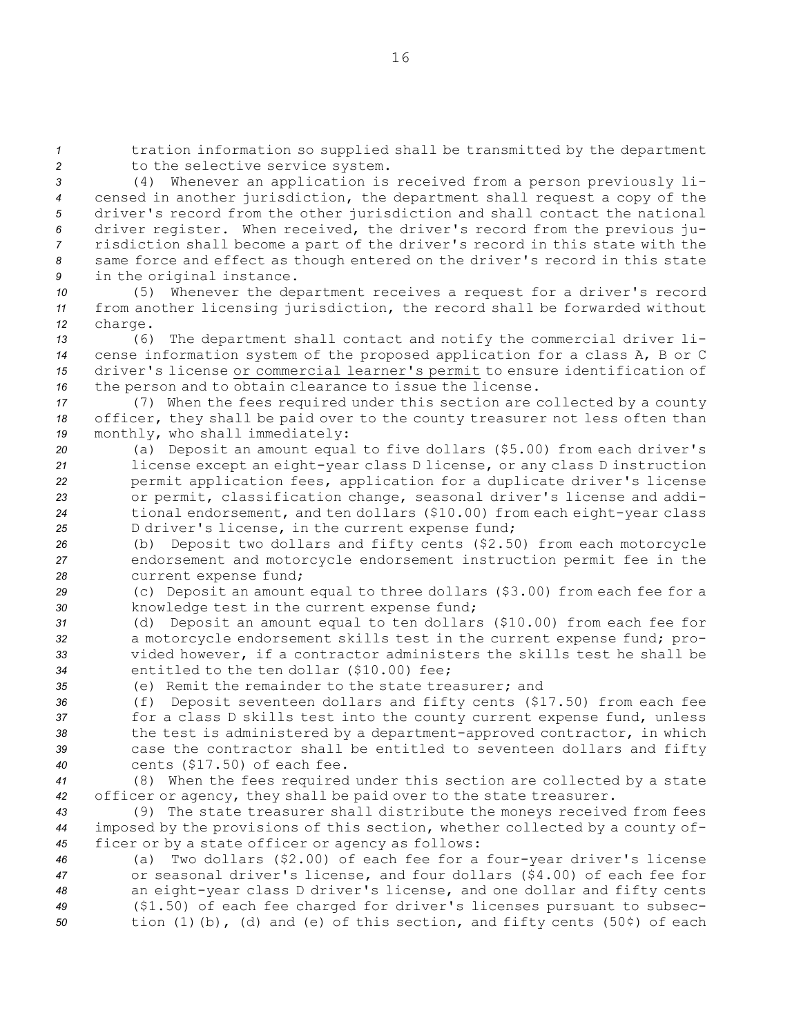*<sup>1</sup>* tration information so supplied shall be transmitted by the department 2 to the selective service system.

 (4) Whenever an application is received from <sup>a</sup> person previously li- censed in another jurisdiction, the department shall request <sup>a</sup> copy of the driver's record from the other jurisdiction and shall contact the national driver register. When received, the driver's record from the previous ju- risdiction shall become <sup>a</sup> part of the driver's record in this state with the same force and effect as though entered on the driver's record in this state in the original instance.

*<sup>10</sup>* (5) Whenever the department receives <sup>a</sup> request for <sup>a</sup> driver's record *<sup>11</sup>* from another licensing jurisdiction, the record shall be forwarded without *<sup>12</sup>* charge.

 (6) The department shall contact and notify the commercial driver li- cense information system of the proposed application for <sup>a</sup> class A, <sup>B</sup> or C driver's license or commercial learner's permit to ensure identification of the person and to obtain clearance to issue the license.

*<sup>17</sup>* (7) When the fees required under this section are collected by <sup>a</sup> county *<sup>18</sup>* officer, they shall be paid over to the county treasurer not less often than *<sup>19</sup>* monthly, who shall immediately:

 (a) Deposit an amount equal to five dollars (\$5.00) from each driver's license except an eight-year class <sup>D</sup> license, or any class <sup>D</sup> instruction permit application fees, application for <sup>a</sup> duplicate driver's license or permit, classification change, seasonal driver's license and addi- tional endorsement, and ten dollars (\$10.00) from each eight-year class <sup>D</sup> driver's license, in the current expense fund;

*<sup>26</sup>* (b) Deposit two dollars and fifty cents (\$2.50) from each motorcycle *<sup>27</sup>* endorsement and motorcycle endorsement instruction permit fee in the *<sup>28</sup>* current expense fund;

*<sup>29</sup>* (c) Deposit an amount equal to three dollars (\$3.00) from each fee for <sup>a</sup> *<sup>30</sup>* knowledge test in the current expense fund;

 (d) Deposit an amount equal to ten dollars (\$10.00) from each fee for <sup>a</sup> motorcycle endorsement skills test in the current expense fund; pro- vided however, if <sup>a</sup> contractor administers the skills test he shall be entitled to the ten dollar (\$10.00) fee;

*35* (e) Remit the remainder to the state treasurer; and

 (f) Deposit seventeen dollars and fifty cents (\$17.50) from each fee for <sup>a</sup> class <sup>D</sup> skills test into the county current expense fund, unless the test is administered by <sup>a</sup> department-approved contractor, in which case the contractor shall be entitled to seventeen dollars and fifty cents (\$17.50) of each fee.

*<sup>41</sup>* (8) When the fees required under this section are collected by <sup>a</sup> state *<sup>42</sup>* officer or agency, they shall be paid over to the state treasurer.

*<sup>43</sup>* (9) The state treasurer shall distribute the moneys received from fees *<sup>44</sup>* imposed by the provisions of this section, whether collected by <sup>a</sup> county of-*<sup>45</sup>* ficer or by <sup>a</sup> state officer or agency as follows:

 (a) Two dollars (\$2.00) of each fee for <sup>a</sup> four-year driver's license or seasonal driver's license, and four dollars (\$4.00) of each fee for an eight-year class <sup>D</sup> driver's license, and one dollar and fifty cents (\$1.50) of each fee charged for driver's licenses pursuant to subsec-tion (1)(b), (d) and (e) of this section, and fifty cents (50¢) of each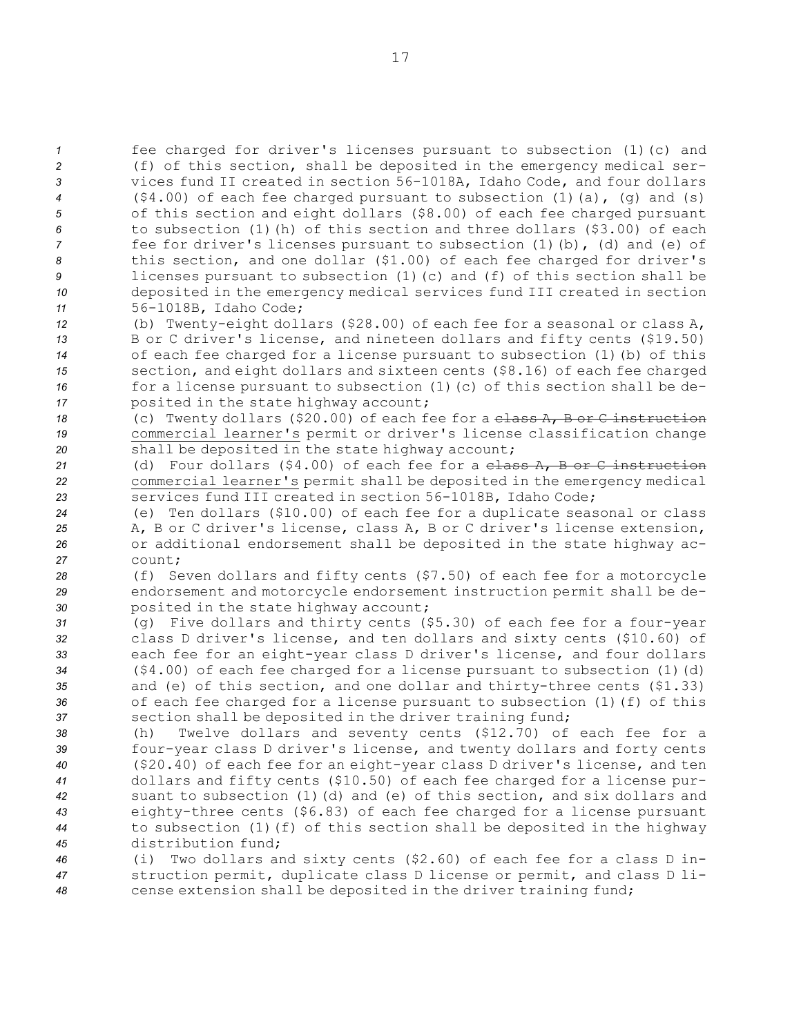fee charged for driver's licenses pursuant to subsection (1)(c) and (f) of this section, shall be deposited in the emergency medical ser- vices fund II created in section 56-1018A, Idaho Code, and four dollars (\$4.00) of each fee charged pursuant to subsection (1)(a), (g) and (s) of this section and eight dollars (\$8.00) of each fee charged pursuant to subsection (1)(h) of this section and three dollars (\$3.00) of each *fee for driver's licenses pursuant to subsection (1)(b), (d) and (e) of*  this section, and one dollar (\$1.00) of each fee charged for driver's licenses pursuant to subsection (1)(c) and (f) of this section shall be deposited in the emergency medical services fund III created in section 56-1018B, Idaho Code;

 (b) Twenty-eight dollars (\$28.00) of each fee for <sup>a</sup> seasonal or class A, <sup>B</sup> or C driver's license, and nineteen dollars and fifty cents (\$19.50) of each fee charged for <sup>a</sup> license pursuant to subsection (1)(b) of this section, and eight dollars and sixteen cents (\$8.16) of each fee charged 16 for a license pursuant to subsection (1)(c) of this section shall be de-posited in the state highway account;

*<sup>18</sup>* (c) Twenty dollars (\$20.00) of each fee for <sup>a</sup> class A, <sup>B</sup> or C instruction *<sup>19</sup>* commercial learner's permit or driver's license classification change *<sup>20</sup>* shall be deposited in the state highway account;

*<sup>21</sup>* (d) Four dollars (\$4.00) of each fee for <sup>a</sup> class A, B or C instruction *<sup>22</sup>* commercial learner's permit shall be deposited in the emergency medical *<sup>23</sup>* services fund III created in section 56-1018B, Idaho Code;

 (e) Ten dollars (\$10.00) of each fee for <sup>a</sup> duplicate seasonal or class A, B or C driver's license, class A, B or C driver's license extension, or additional endorsement shall be deposited in the state highway ac-*27* count;

*<sup>28</sup>* (f) Seven dollars and fifty cents (\$7.50) of each fee for <sup>a</sup> motorcycle *<sup>29</sup>* endorsement and motorcycle endorsement instruction permit shall be de-*<sup>30</sup>* posited in the state highway account;

 (g) Five dollars and thirty cents (\$5.30) of each fee for <sup>a</sup> four-year class <sup>D</sup> driver's license, and ten dollars and sixty cents (\$10.60) of each fee for an eight-year class <sup>D</sup> driver's license, and four dollars (\$4.00) of each fee charged for <sup>a</sup> license pursuant to subsection (1)(d) and (e) of this section, and one dollar and thirty-three cents (\$1.33) of each fee charged for <sup>a</sup> license pursuant to subsection (1)(f) of this section shall be deposited in the driver training fund;

 (h) Twelve dollars and seventy cents (\$12.70) of each fee for <sup>a</sup> four-year class <sup>D</sup> driver's license, and twenty dollars and forty cents (\$20.40) of each fee for an eight-year class <sup>D</sup> driver's license, and ten dollars and fifty cents (\$10.50) of each fee charged for <sup>a</sup> license pur- suant to subsection (1)(d) and (e) of this section, and six dollars and eighty-three cents (\$6.83) of each fee charged for <sup>a</sup> license pursuant to subsection (1)(f) of this section shall be deposited in the highway distribution fund;

*<sup>46</sup>* (i) Two dollars and sixty cents (\$2.60) of each fee for <sup>a</sup> class <sup>D</sup> in-*<sup>47</sup>* struction permit, duplicate class <sup>D</sup> license or permit, and class <sup>D</sup> li-*<sup>48</sup>* cense extension shall be deposited in the driver training fund;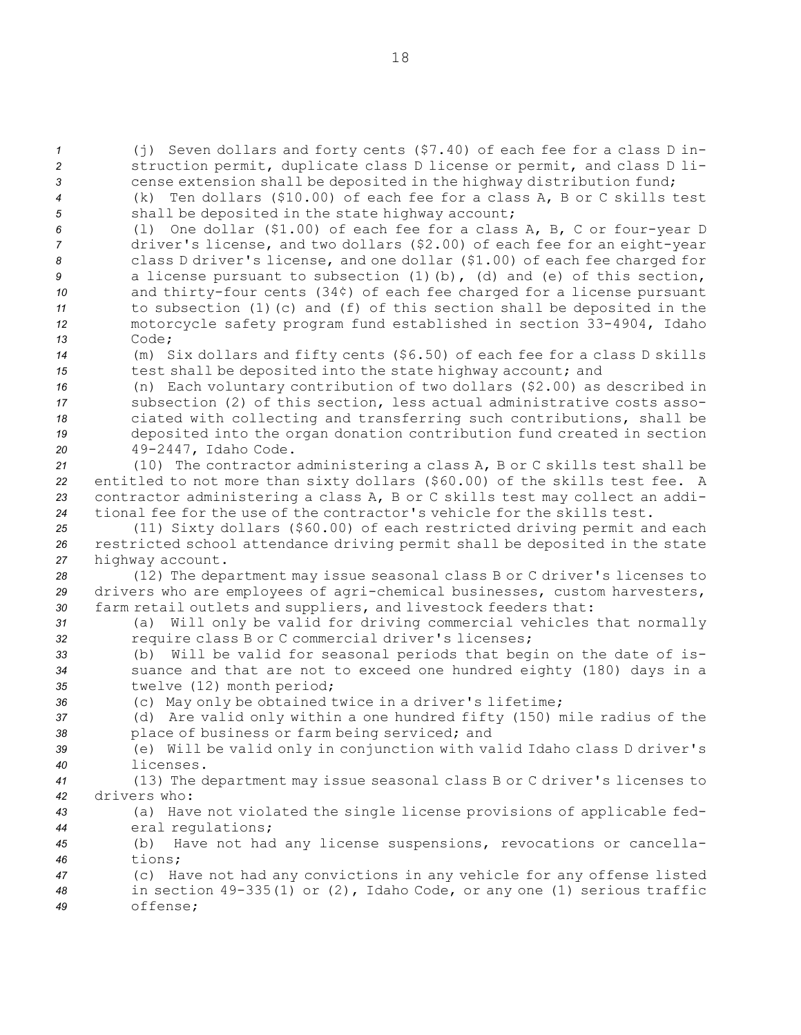(j) Seven dollars and forty cents (\$7.40) of each fee for <sup>a</sup> class <sup>D</sup> in- struction permit, duplicate class <sup>D</sup> license or permit, and class <sup>D</sup> li-3 3 **3** cense extension shall be deposited in the highway distribution fund; (k) Ten dollars (\$10.00) of each fee for <sup>a</sup> class A, B or C skills test shall be deposited in the state highway account; (l) One dollar (\$1.00) of each fee for <sup>a</sup> class A, B, C or four-year <sup>D</sup> driver's license, and two dollars (\$2.00) of each fee for an eight-year class <sup>D</sup> driver's license, and one dollar (\$1.00) of each fee charged for a license pursuant to subsection (1)(b), (d) and (e) of this section, and thirty-four cents (34¢) of each fee charged for <sup>a</sup> license pursuant to subsection (1)(c) and (f) of this section shall be deposited in the motorcycle safety program fund established in section 33-4904, Idaho *13* Code; (m) Six dollars and fifty cents (\$6.50) of each fee for <sup>a</sup> class <sup>D</sup> skills test shall be deposited into the state highway account; and (n) Each voluntary contribution of two dollars (\$2.00) as described in subsection (2) of this section, less actual administrative costs asso- ciated with collecting and transferring such contributions, shall be deposited into the organ donation contribution fund created in section 49-2447, Idaho Code. (10) The contractor administering <sup>a</sup> class A, <sup>B</sup> or C skills test shall be entitled to not more than sixty dollars (\$60.00) of the skills test fee. <sup>A</sup> contractor administering <sup>a</sup> class A, <sup>B</sup> or C skills test may collect an addi- tional fee for the use of the contractor's vehicle for the skills test. (11) Sixty dollars (\$60.00) of each restricted driving permit and each restricted school attendance driving permit shall be deposited in the state highway account. (12) The department may issue seasonal class <sup>B</sup> or C driver's licenses to drivers who are employees of agri-chemical businesses, custom harvesters, farm retail outlets and suppliers, and livestock feeders that: (a) Will only be valid for driving commercial vehicles that normally require class <sup>B</sup> or C commercial driver's licenses; (b) Will be valid for seasonal periods that begin on the date of is- suance and that are not to exceed one hundred eighty (180) days in <sup>a</sup> twelve (12) month period; (c) May only be obtained twice in <sup>a</sup> driver's lifetime; (d) Are valid only within <sup>a</sup> one hundred fifty (150) mile radius of the place of business or farm being serviced; and (e) Will be valid only in conjunction with valid Idaho class <sup>D</sup> driver's licenses. (13) The department may issue seasonal class <sup>B</sup> or C driver's licenses to drivers who: (a) Have not violated the single license provisions of applicable fed- eral regulations; (b) Have not had any license suspensions, revocations or cancella-*46* tions; (c) Have not had any convictions in any vehicle for any offense listed in section 49-335(1) or (2), Idaho Code, or any one (1) serious traffic *49* offense;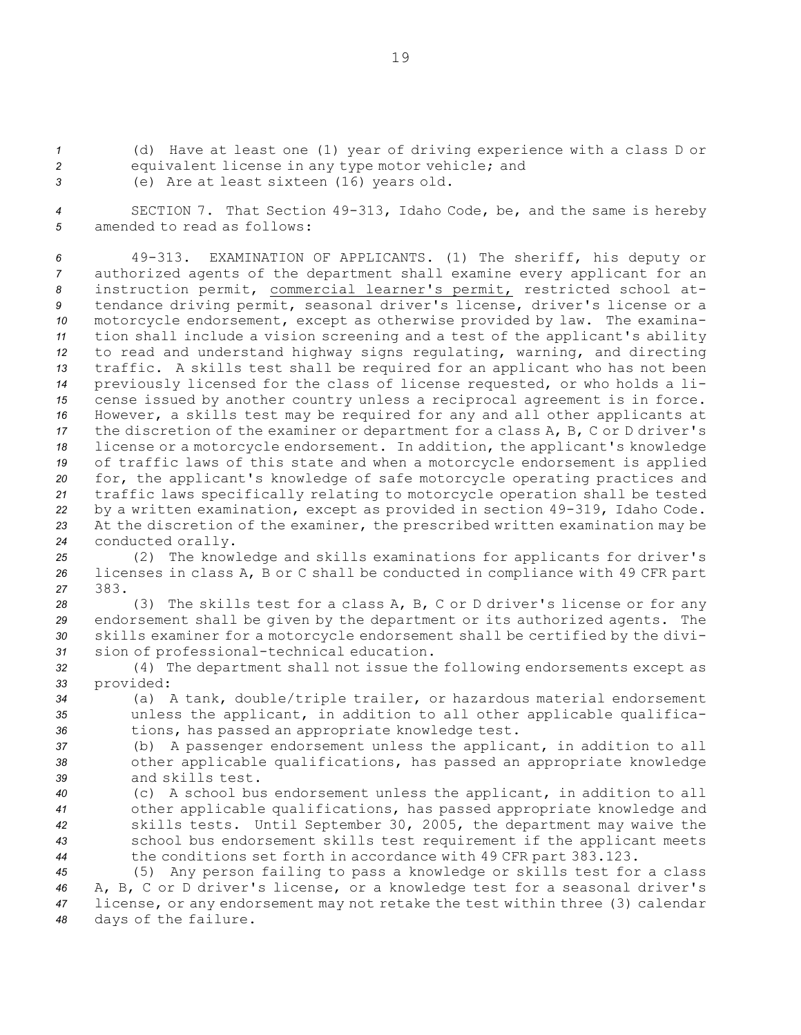*<sup>1</sup>* (d) Have at least one (1) year of driving experience with <sup>a</sup> class <sup>D</sup> or

- *<sup>2</sup>* equivalent license in any type motor vehicle; and
- *<sup>3</sup>* (e) Are at least sixteen (16) years old.

*<sup>4</sup>* SECTION 7. That Section 49-313, Idaho Code, be, and the same is hereby *5* amended to read as follows:

 49-313. EXAMINATION OF APPLICANTS. (1) The sheriff, his deputy or authorized agents of the department shall examine every applicant for an instruction permit, commercial learner's permit, restricted school at- tendance driving permit, seasonal driver's license, driver's license or <sup>a</sup> motorcycle endorsement, except as otherwise provided by law. The examina- tion shall include <sup>a</sup> vision screening and <sup>a</sup> test of the applicant's ability to read and understand highway signs regulating, warning, and directing traffic. <sup>A</sup> skills test shall be required for an applicant who has not been previously licensed for the class of license requested, or who holds <sup>a</sup> li- cense issued by another country unless <sup>a</sup> reciprocal agreement is in force. However, <sup>a</sup> skills test may be required for any and all other applicants at the discretion of the examiner or department for <sup>a</sup> class A, B, C or <sup>D</sup> driver's license or <sup>a</sup> motorcycle endorsement. In addition, the applicant's knowledge of traffic laws of this state and when <sup>a</sup> motorcycle endorsement is applied for, the applicant's knowledge of safe motorcycle operating practices and traffic laws specifically relating to motorcycle operation shall be tested by <sup>a</sup> written examination, except as provided in section 49-319, Idaho Code. At the discretion of the examiner, the prescribed written examination may be conducted orally.

*<sup>25</sup>* (2) The knowledge and skills examinations for applicants for driver's *<sup>26</sup>* licenses in class A, <sup>B</sup> or C shall be conducted in compliance with 49 CFR part *27* 383.

 (3) The skills test for <sup>a</sup> class A, B, C or <sup>D</sup> driver's license or for any endorsement shall be given by the department or its authorized agents. The skills examiner for <sup>a</sup> motorcycle endorsement shall be certified by the divi-sion of professional-technical education.

- *<sup>32</sup>* (4) The department shall not issue the following endorsements except as *<sup>33</sup>* provided:
- *<sup>34</sup>* (a) <sup>A</sup> tank, double/triple trailer, or hazardous material endorsement *<sup>35</sup>* unless the applicant, in addition to all other applicable qualifica-*<sup>36</sup>* tions, has passed an appropriate knowledge test.

*<sup>37</sup>* (b) <sup>A</sup> passenger endorsement unless the applicant, in addition to all *<sup>38</sup>* other applicable qualifications, has passed an appropriate knowledge *39* and skills test.

 (c) <sup>A</sup> school bus endorsement unless the applicant, in addition to all other applicable qualifications, has passed appropriate knowledge and skills tests. Until September 30, 2005, the department may waive the school bus endorsement skills test requirement if the applicant meets the conditions set forth in accordance with 49 CFR part 383.123.

 (5) Any person failing to pass <sup>a</sup> knowledge or skills test for <sup>a</sup> class A, B, C or <sup>D</sup> driver's license, or <sup>a</sup> knowledge test for <sup>a</sup> seasonal driver's license, or any endorsement may not retake the test within three (3) calendar days of the failure.